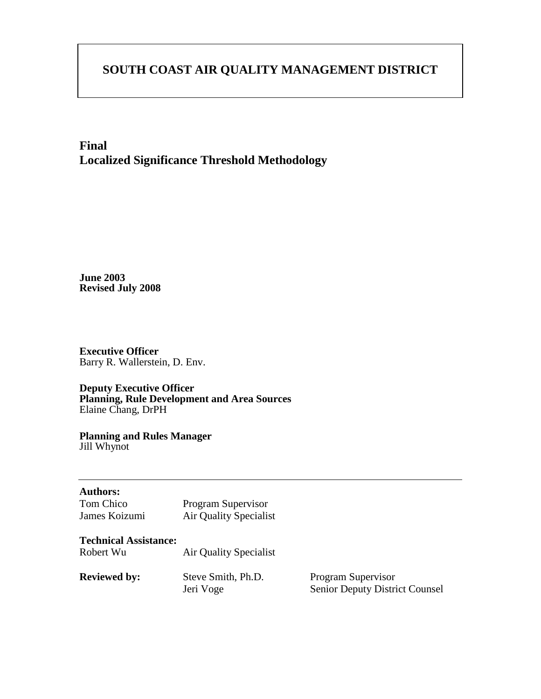# **SOUTH COAST AIR QUALITY MANAGEMENT DISTRICT**

## **Final Localized Significance Threshold Methodology**

**June 2003 Revised July 2008** 

**Executive Officer**  Barry R. Wallerstein, D. Env.

**Deputy Executive Officer Planning, Rule Development and Area Sources**  Elaine Chang, DrPH

**Planning and Rules Manager**  Jill Whynot

| <b>Authors:</b><br>Tom Chico<br>James Koizumi | Program Supervisor<br><b>Air Quality Specialist</b> |                                                             |
|-----------------------------------------------|-----------------------------------------------------|-------------------------------------------------------------|
| <b>Technical Assistance:</b><br>Robert Wu     | Air Quality Specialist                              |                                                             |
| <b>Reviewed by:</b>                           | Steve Smith, Ph.D.<br>Jeri Voge                     | Program Supervisor<br><b>Senior Deputy District Counsel</b> |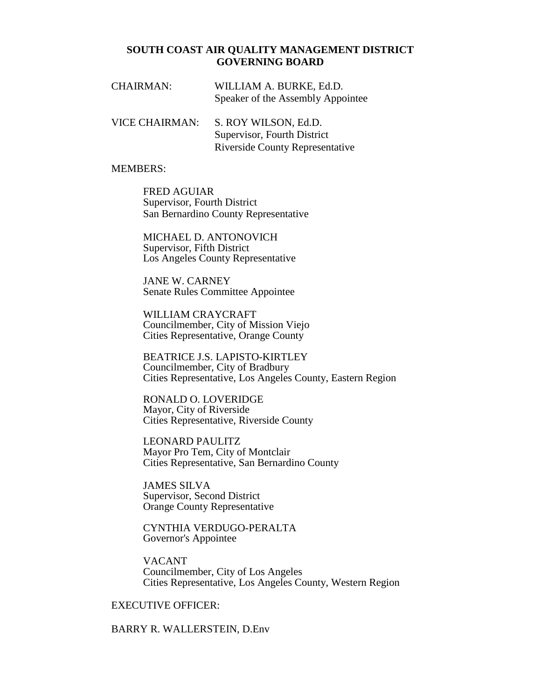#### **SOUTH COAST AIR QUALITY MANAGEMENT DISTRICT GOVERNING BOARD**

| <b>CHAIRMAN:</b> | WILLIAM A. BURKE, Ed.D.           |
|------------------|-----------------------------------|
|                  | Speaker of the Assembly Appointee |

VICE CHAIRMAN: S. ROY WILSON, Ed.D. Supervisor, Fourth District Riverside County Representative

#### MEMBERS:

 FRED AGUIAR Supervisor, Fourth District San Bernardino County Representative

 MICHAEL D. ANTONOVICH Supervisor, Fifth District Los Angeles County Representative

 JANE W. CARNEY Senate Rules Committee Appointee

 WILLIAM CRAYCRAFT Councilmember, City of Mission Viejo Cities Representative, Orange County

 BEATRICE J.S. LAPISTO-KIRTLEY Councilmember, City of Bradbury Cities Representative, Los Angeles County, Eastern Region

 RONALD O. LOVERIDGE Mayor, City of Riverside Cities Representative, Riverside County

 LEONARD PAULITZ Mayor Pro Tem, City of Montclair Cities Representative, San Bernardino County

 JAMES SILVA Supervisor, Second District Orange County Representative

 CYNTHIA VERDUGO-PERALTA Governor's Appointee

 VACANT Councilmember, City of Los Angeles Cities Representative, Los Angeles County, Western Region

#### EXECUTIVE OFFICER:

BARRY R. WALLERSTEIN, D.Env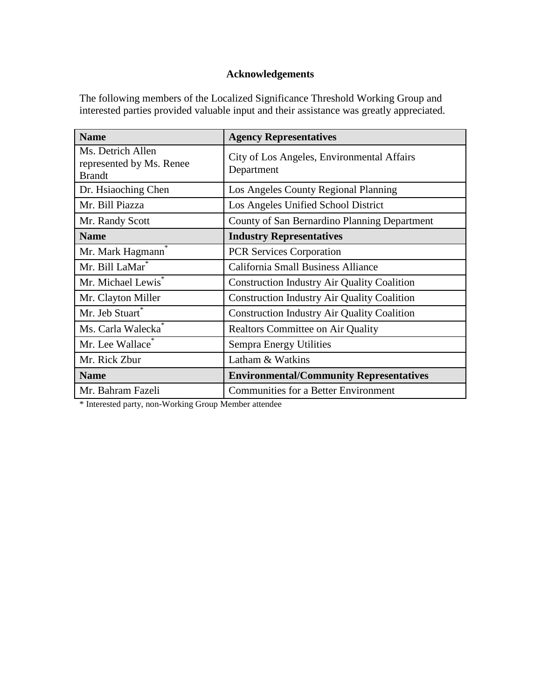#### **Acknowledgements**

The following members of the Localized Significance Threshold Working Group and interested parties provided valuable input and their assistance was greatly appreciated.

| <b>Name</b>                                                    | <b>Agency Representatives</b>                            |
|----------------------------------------------------------------|----------------------------------------------------------|
| Ms. Detrich Allen<br>represented by Ms. Renee<br><b>Brandt</b> | City of Los Angeles, Environmental Affairs<br>Department |
| Dr. Hsiaoching Chen                                            | Los Angeles County Regional Planning                     |
| Mr. Bill Piazza                                                | Los Angeles Unified School District                      |
| Mr. Randy Scott                                                | County of San Bernardino Planning Department             |
| <b>Name</b>                                                    | <b>Industry Representatives</b>                          |
| Mr. Mark Hagmann                                               | <b>PCR Services Corporation</b>                          |
| Mr. Bill LaMar*                                                | <b>California Small Business Alliance</b>                |
| Mr. Michael Lewis <sup>*</sup>                                 | <b>Construction Industry Air Quality Coalition</b>       |
| Mr. Clayton Miller                                             | <b>Construction Industry Air Quality Coalition</b>       |
| Mr. Jeb Stuart*                                                | <b>Construction Industry Air Quality Coalition</b>       |
| Ms. Carla Walecka <sup>*</sup>                                 | <b>Realtors Committee on Air Quality</b>                 |
| Mr. Lee Wallace                                                | Sempra Energy Utilities                                  |
| Mr. Rick Zbur                                                  | Latham & Watkins                                         |
| <b>Name</b>                                                    | <b>Environmental/Community Representatives</b>           |
| Mr. Bahram Fazeli                                              | <b>Communities for a Better Environment</b>              |

\* Interested party, non-Working Group Member attendee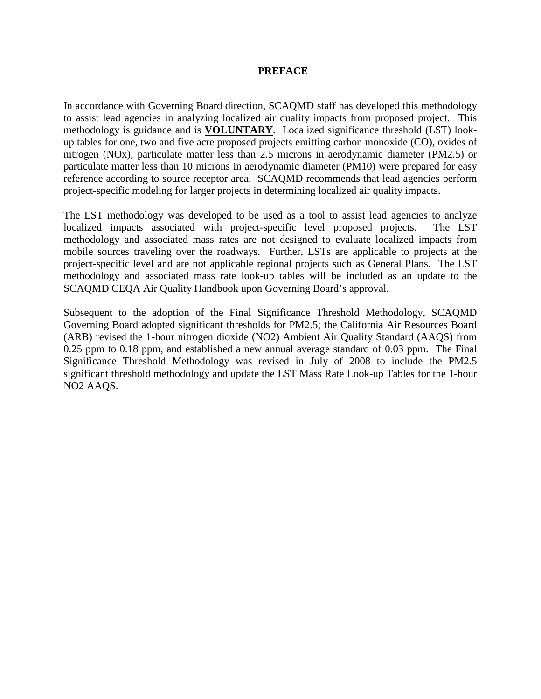#### **PREFACE**

In accordance with Governing Board direction, SCAQMD staff has developed this methodology to assist lead agencies in analyzing localized air quality impacts from proposed project. This methodology is guidance and is **VOLUNTARY**. Localized significance threshold (LST) lookup tables for one, two and five acre proposed projects emitting carbon monoxide (CO), oxides of nitrogen (NOx), particulate matter less than 2.5 microns in aerodynamic diameter (PM2.5) or particulate matter less than 10 microns in aerodynamic diameter (PM10) were prepared for easy reference according to source receptor area. SCAQMD recommends that lead agencies perform project-specific modeling for larger projects in determining localized air quality impacts.

The LST methodology was developed to be used as a tool to assist lead agencies to analyze localized impacts associated with project-specific level proposed projects. The LST methodology and associated mass rates are not designed to evaluate localized impacts from mobile sources traveling over the roadways. Further, LSTs are applicable to projects at the project-specific level and are not applicable regional projects such as General Plans. The LST methodology and associated mass rate look-up tables will be included as an update to the SCAQMD CEQA Air Quality Handbook upon Governing Board's approval.

Subsequent to the adoption of the Final Significance Threshold Methodology, SCAQMD Governing Board adopted significant thresholds for PM2.5; the California Air Resources Board (ARB) revised the 1-hour nitrogen dioxide (NO2) Ambient Air Quality Standard (AAQS) from 0.25 ppm to 0.18 ppm, and established a new annual average standard of 0.03 ppm. The Final Significance Threshold Methodology was revised in July of 2008 to include the PM2.5 significant threshold methodology and update the LST Mass Rate Look-up Tables for the 1-hour NO2 AAQS.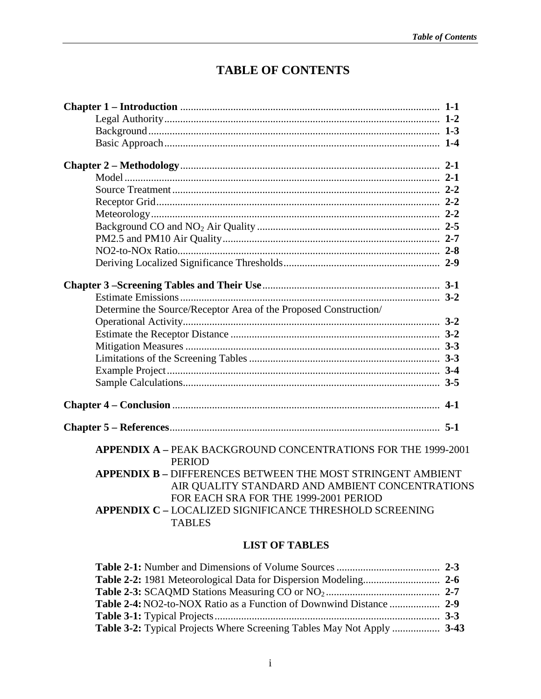# **TABLE OF CONTENTS**

| Determine the Source/Receptor Area of the Proposed Construction/               |  |
|--------------------------------------------------------------------------------|--|
|                                                                                |  |
|                                                                                |  |
|                                                                                |  |
|                                                                                |  |
|                                                                                |  |
|                                                                                |  |
|                                                                                |  |
|                                                                                |  |
| APPENDIX A - PEAK BACKGROUND CONCENTRATIONS FOR THE 1999-2001<br><b>PERIOD</b> |  |
| <b>APPENDIX B - DIFFERENCES BETWEEN THE MOST STRINGENT AMBIENT</b>             |  |
| AIR QUALITY STANDARD AND AMBIENT CONCENTRATIONS                                |  |
| FOR EACH SRA FOR THE 1999-2001 PERIOD                                          |  |
| <b>APPENDIX C - LOCALIZED SIGNIFICANCE THRESHOLD SCREENING</b>                 |  |
| <b>TABLES</b>                                                                  |  |

## **LIST OF TABLES**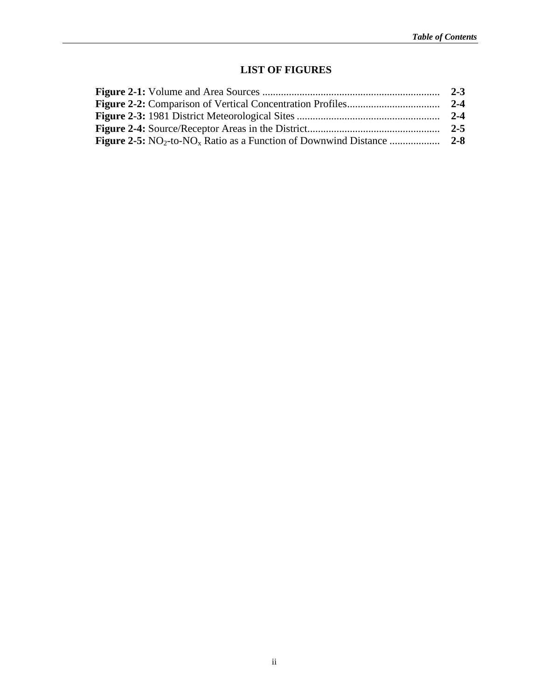## **LIST OF FIGURES**

| $2 - 3$ |
|---------|
| $2 - 4$ |
| $2 - 4$ |
| $2 - 5$ |
|         |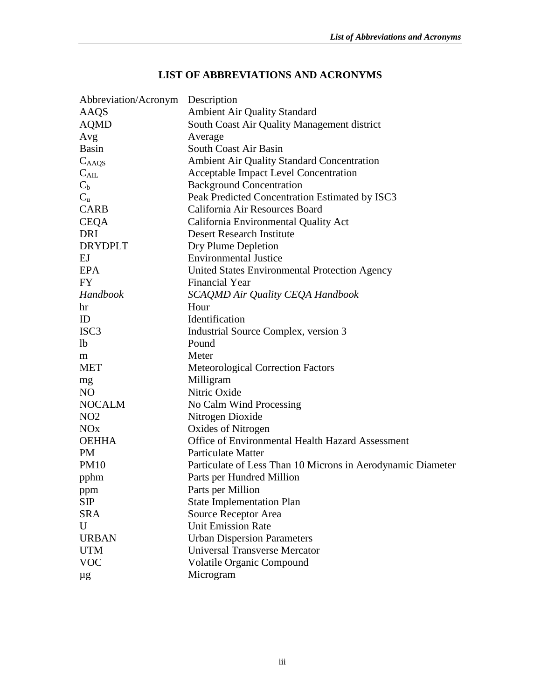| Abbreviation/Acronym | Description                                                 |
|----------------------|-------------------------------------------------------------|
| AAQS                 | Ambient Air Quality Standard                                |
| <b>AQMD</b>          | South Coast Air Quality Management district                 |
| Avg                  | Average                                                     |
| Basin                | South Coast Air Basin                                       |
| $C_{\rm A AQS}$      | <b>Ambient Air Quality Standard Concentration</b>           |
| $C_{\mathrm{AIL}}$   | Acceptable Impact Level Concentration                       |
| $C_{b}$              | <b>Background Concentration</b>                             |
| $C_{u}$              | Peak Predicted Concentration Estimated by ISC3              |
| <b>CARB</b>          | California Air Resources Board                              |
| <b>CEQA</b>          | California Environmental Quality Act                        |
| DRI                  | <b>Desert Research Institute</b>                            |
| <b>DRYDPLT</b>       | Dry Plume Depletion                                         |
| EJ                   | <b>Environmental Justice</b>                                |
| <b>EPA</b>           | United States Environmental Protection Agency               |
| FY                   | <b>Financial Year</b>                                       |
| <b>Handbook</b>      | SCAQMD Air Quality CEQA Handbook                            |
| hr                   | Hour                                                        |
| ID                   | Identification                                              |
| ISC3                 | Industrial Source Complex, version 3                        |
| lb                   | Pound                                                       |
| m                    | Meter                                                       |
| <b>MET</b>           | <b>Meteorological Correction Factors</b>                    |
| mg                   | Milligram                                                   |
| NO                   | Nitric Oxide                                                |
| <b>NOCALM</b>        | No Calm Wind Processing                                     |
| NO <sub>2</sub>      | Nitrogen Dioxide                                            |
| NOx                  | Oxides of Nitrogen                                          |
| <b>OEHHA</b>         | Office of Environmental Health Hazard Assessment            |
| PM                   | <b>Particulate Matter</b>                                   |
| PM10                 | Particulate of Less Than 10 Microns in Aerodynamic Diameter |
| pphm                 | Parts per Hundred Million                                   |
| ppm                  | Parts per Million                                           |
| <b>SIP</b>           | <b>State Implementation Plan</b>                            |
| <b>SRA</b>           | Source Receptor Area                                        |
| U                    | <b>Unit Emission Rate</b>                                   |
| <b>URBAN</b>         | <b>Urban Dispersion Parameters</b>                          |
| UTM                  | <b>Universal Transverse Mercator</b>                        |
| <b>VOC</b>           | <b>Volatile Organic Compound</b>                            |
| μg                   | Microgram                                                   |
|                      |                                                             |

## **LIST OF ABBREVIATIONS AND ACRONYMS**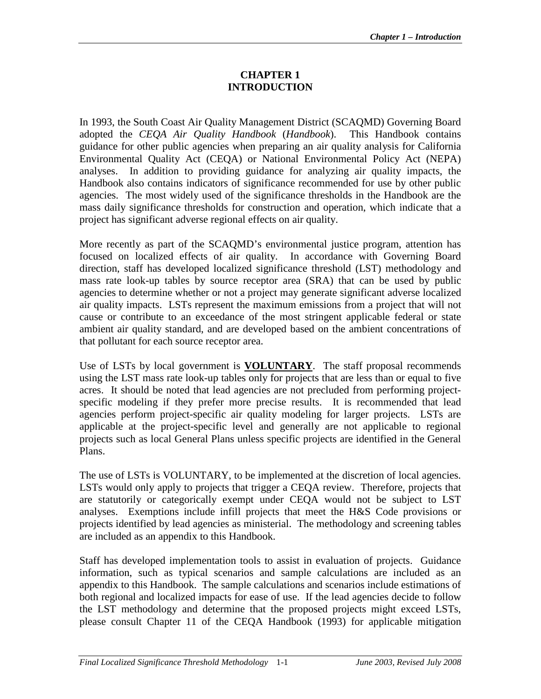## **CHAPTER 1 INTRODUCTION**

In 1993, the South Coast Air Quality Management District (SCAQMD) Governing Board adopted the *CEQA Air Quality Handbook* (*Handbook*). This Handbook contains guidance for other public agencies when preparing an air quality analysis for California Environmental Quality Act (CEQA) or National Environmental Policy Act (NEPA) analyses. In addition to providing guidance for analyzing air quality impacts, the Handbook also contains indicators of significance recommended for use by other public agencies. The most widely used of the significance thresholds in the Handbook are the mass daily significance thresholds for construction and operation, which indicate that a project has significant adverse regional effects on air quality.

More recently as part of the SCAQMD's environmental justice program, attention has focused on localized effects of air quality. In accordance with Governing Board direction, staff has developed localized significance threshold (LST) methodology and mass rate look-up tables by source receptor area (SRA) that can be used by public agencies to determine whether or not a project may generate significant adverse localized air quality impacts. LSTs represent the maximum emissions from a project that will not cause or contribute to an exceedance of the most stringent applicable federal or state ambient air quality standard, and are developed based on the ambient concentrations of that pollutant for each source receptor area.

Use of LSTs by local government is **VOLUNTARY**. The staff proposal recommends using the LST mass rate look-up tables only for projects that are less than or equal to five acres. It should be noted that lead agencies are not precluded from performing projectspecific modeling if they prefer more precise results. It is recommended that lead agencies perform project-specific air quality modeling for larger projects. LSTs are applicable at the project-specific level and generally are not applicable to regional projects such as local General Plans unless specific projects are identified in the General Plans.

The use of LSTs is VOLUNTARY, to be implemented at the discretion of local agencies. LSTs would only apply to projects that trigger a CEQA review. Therefore, projects that are statutorily or categorically exempt under CEQA would not be subject to LST analyses. Exemptions include infill projects that meet the H&S Code provisions or projects identified by lead agencies as ministerial. The methodology and screening tables are included as an appendix to this Handbook.

Staff has developed implementation tools to assist in evaluation of projects. Guidance information, such as typical scenarios and sample calculations are included as an appendix to this Handbook. The sample calculations and scenarios include estimations of both regional and localized impacts for ease of use. If the lead agencies decide to follow the LST methodology and determine that the proposed projects might exceed LSTs, please consult Chapter 11 of the CEQA Handbook (1993) for applicable mitigation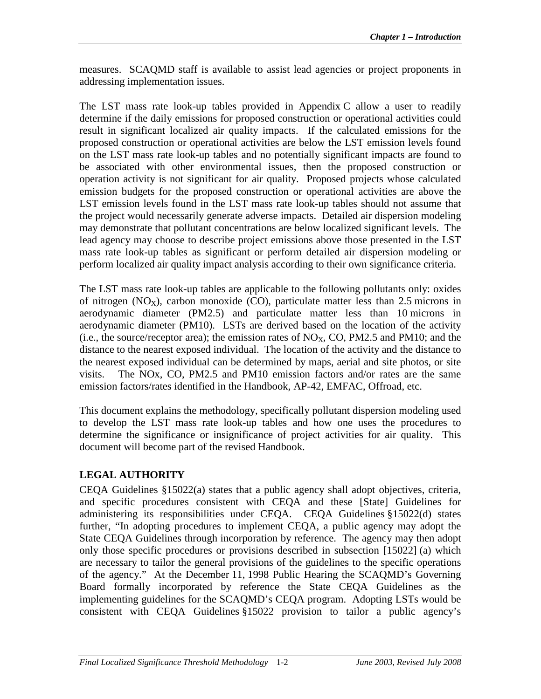measures. SCAQMD staff is available to assist lead agencies or project proponents in addressing implementation issues.

The LST mass rate look-up tables provided in Appendix C allow a user to readily determine if the daily emissions for proposed construction or operational activities could result in significant localized air quality impacts. If the calculated emissions for the proposed construction or operational activities are below the LST emission levels found on the LST mass rate look-up tables and no potentially significant impacts are found to be associated with other environmental issues, then the proposed construction or operation activity is not significant for air quality. Proposed projects whose calculated emission budgets for the proposed construction or operational activities are above the LST emission levels found in the LST mass rate look-up tables should not assume that the project would necessarily generate adverse impacts. Detailed air dispersion modeling may demonstrate that pollutant concentrations are below localized significant levels. The lead agency may choose to describe project emissions above those presented in the LST mass rate look-up tables as significant or perform detailed air dispersion modeling or perform localized air quality impact analysis according to their own significance criteria.

The LST mass rate look-up tables are applicable to the following pollutants only: oxides of nitrogen  $(NO<sub>X</sub>)$ , carbon monoxide  $(CO)$ , particulate matter less than 2.5 microns in aerodynamic diameter (PM2.5) and particulate matter less than 10 microns in aerodynamic diameter (PM10). LSTs are derived based on the location of the activity (i.e., the source/receptor area); the emission rates of  $NO<sub>x</sub>$ , CO, PM2.5 and PM10; and the distance to the nearest exposed individual. The location of the activity and the distance to the nearest exposed individual can be determined by maps, aerial and site photos, or site visits. The NOx, CO, PM2.5 and PM10 emission factors and/or rates are the same emission factors/rates identified in the Handbook, AP-42, EMFAC, Offroad, etc.

This document explains the methodology, specifically pollutant dispersion modeling used to develop the LST mass rate look-up tables and how one uses the procedures to determine the significance or insignificance of project activities for air quality. This document will become part of the revised Handbook.

## **LEGAL AUTHORITY**

CEQA Guidelines §15022(a) states that a public agency shall adopt objectives, criteria, and specific procedures consistent with CEQA and these [State] Guidelines for administering its responsibilities under CEQA. CEQA Guidelines §15022(d) states further, "In adopting procedures to implement CEQA, a public agency may adopt the State CEQA Guidelines through incorporation by reference. The agency may then adopt only those specific procedures or provisions described in subsection [15022] (a) which are necessary to tailor the general provisions of the guidelines to the specific operations of the agency." At the December 11, 1998 Public Hearing the SCAQMD's Governing Board formally incorporated by reference the State CEQA Guidelines as the implementing guidelines for the SCAQMD's CEQA program. Adopting LSTs would be consistent with CEQA Guidelines §15022 provision to tailor a public agency's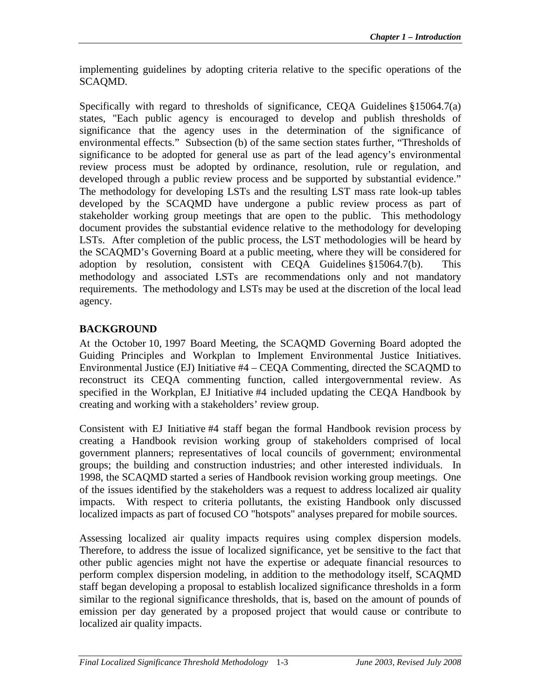implementing guidelines by adopting criteria relative to the specific operations of the SCAQMD.

Specifically with regard to thresholds of significance, CEQA Guidelines §15064.7(a) states, "Each public agency is encouraged to develop and publish thresholds of significance that the agency uses in the determination of the significance of environmental effects." Subsection (b) of the same section states further, "Thresholds of significance to be adopted for general use as part of the lead agency's environmental review process must be adopted by ordinance, resolution, rule or regulation, and developed through a public review process and be supported by substantial evidence." The methodology for developing LSTs and the resulting LST mass rate look-up tables developed by the SCAQMD have undergone a public review process as part of stakeholder working group meetings that are open to the public. This methodology document provides the substantial evidence relative to the methodology for developing LSTs. After completion of the public process, the LST methodologies will be heard by the SCAQMD's Governing Board at a public meeting, where they will be considered for adoption by resolution, consistent with CEQA Guidelines §15064.7(b). This methodology and associated LSTs are recommendations only and not mandatory requirements. The methodology and LSTs may be used at the discretion of the local lead agency.

## **BACKGROUND**

At the October 10, 1997 Board Meeting, the SCAQMD Governing Board adopted the Guiding Principles and Workplan to Implement Environmental Justice Initiatives. Environmental Justice (EJ) Initiative #4 – CEQA Commenting, directed the SCAQMD to reconstruct its CEQA commenting function, called intergovernmental review. As specified in the Workplan, EJ Initiative #4 included updating the CEQA Handbook by creating and working with a stakeholders' review group.

Consistent with EJ Initiative #4 staff began the formal Handbook revision process by creating a Handbook revision working group of stakeholders comprised of local government planners; representatives of local councils of government; environmental groups; the building and construction industries; and other interested individuals. In 1998, the SCAQMD started a series of Handbook revision working group meetings. One of the issues identified by the stakeholders was a request to address localized air quality impacts. With respect to criteria pollutants, the existing Handbook only discussed localized impacts as part of focused CO "hotspots" analyses prepared for mobile sources.

Assessing localized air quality impacts requires using complex dispersion models. Therefore, to address the issue of localized significance, yet be sensitive to the fact that other public agencies might not have the expertise or adequate financial resources to perform complex dispersion modeling, in addition to the methodology itself, SCAQMD staff began developing a proposal to establish localized significance thresholds in a form similar to the regional significance thresholds, that is, based on the amount of pounds of emission per day generated by a proposed project that would cause or contribute to localized air quality impacts.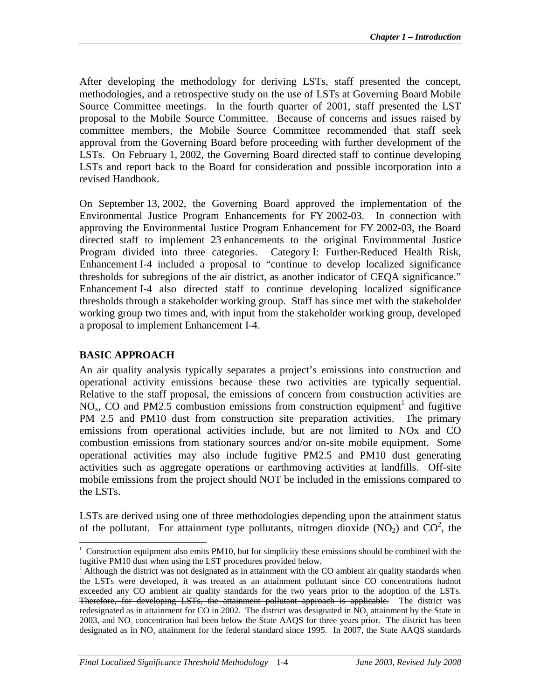After developing the methodology for deriving LSTs, staff presented the concept, methodologies, and a retrospective study on the use of LSTs at Governing Board Mobile Source Committee meetings. In the fourth quarter of 2001, staff presented the LST proposal to the Mobile Source Committee. Because of concerns and issues raised by committee members, the Mobile Source Committee recommended that staff seek approval from the Governing Board before proceeding with further development of the LSTs. On February 1, 2002, the Governing Board directed staff to continue developing LSTs and report back to the Board for consideration and possible incorporation into a revised Handbook.

On September 13, 2002, the Governing Board approved the implementation of the Environmental Justice Program Enhancements for FY 2002-03. In connection with approving the Environmental Justice Program Enhancement for FY 2002-03, the Board directed staff to implement 23 enhancements to the original Environmental Justice Program divided into three categories. Category I: Further-Reduced Health Risk, Enhancement I-4 included a proposal to "continue to develop localized significance thresholds for subregions of the air district, as another indicator of CEQA significance." Enhancement I-4 also directed staff to continue developing localized significance thresholds through a stakeholder working group. Staff has since met with the stakeholder working group two times and, with input from the stakeholder working group, developed a proposal to implement Enhancement I-4.

#### **BASIC APPROACH**

An air quality analysis typically separates a project's emissions into construction and operational activity emissions because these two activities are typically sequential. Relative to the staff proposal, the emissions of concern from construction activities are NO<sub>x</sub>, CO and PM2.5 combustion emissions from construction equipment<sup>1</sup> and fugitive PM 2.5 and PM10 dust from construction site preparation activities. The primary emissions from operational activities include, but are not limited to NOx and CO combustion emissions from stationary sources and/or on-site mobile equipment. Some operational activities may also include fugitive PM2.5 and PM10 dust generating activities such as aggregate operations or earthmoving activities at landfills. Off-site mobile emissions from the project should NOT be included in the emissions compared to the LSTs.

LSTs are derived using one of three methodologies depending upon the attainment status of the pollutant. For attainment type pollutants, nitrogen dioxide  $(NO<sub>2</sub>)$  and  $CO<sup>2</sup>$ , the

 $\overline{a}$ 1 Construction equipment also emits PM10, but for simplicity these emissions should be combined with the fugitive PM10 dust when using the LST procedures provided below.

<sup>&</sup>lt;sup>2</sup> Although the district was not designated as in attainment with the CO ambient air quality standards when the LSTs were developed, it was treated as an attainment pollutant since CO concentrations hadnot exceeded any CO ambient air quality standards for the two years prior to the adoption of the LSTs. Therefore, for developing LSTs, the attainment pollutant approach is applicable. The district was redesignated as in attainment for CO in 2002. The district was designated in NO<sub>2</sub> attainment by the State in 2003, and  $NO<sub>2</sub>$  concentration had been below the State AAQS for three years prior. The district has been designated as in  $NO<sub>2</sub>$  attainment for the federal standard since 1995. In 2007, the State AAQS standards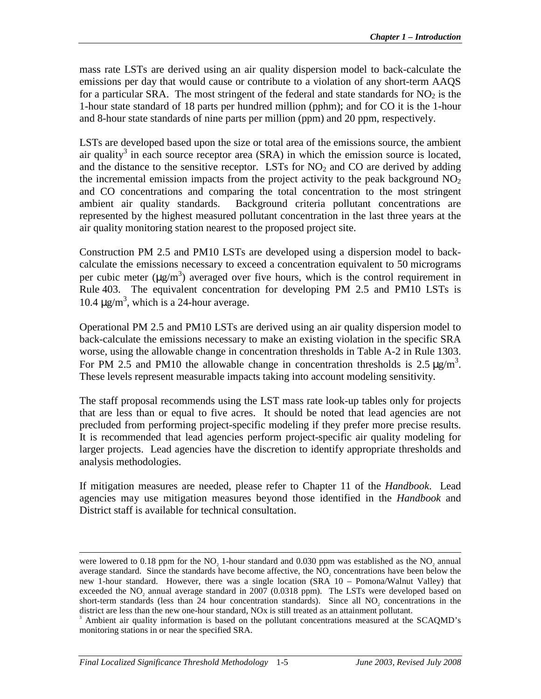mass rate LSTs are derived using an air quality dispersion model to back-calculate the emissions per day that would cause or contribute to a violation of any short-term AAQS for a particular SRA. The most stringent of the federal and state standards for  $NO<sub>2</sub>$  is the 1-hour state standard of 18 parts per hundred million (pphm); and for CO it is the 1-hour and 8-hour state standards of nine parts per million (ppm) and 20 ppm, respectively.

LSTs are developed based upon the size or total area of the emissions source, the ambient air quality<sup>3</sup> in each source receptor area  $(SRA)$  in which the emission source is located, and the distance to the sensitive receptor. LSTs for  $NO<sub>2</sub>$  and CO are derived by adding the incremental emission impacts from the project activity to the peak background  $NO<sub>2</sub>$ and CO concentrations and comparing the total concentration to the most stringent ambient air quality standards. Background criteria pollutant concentrations are represented by the highest measured pollutant concentration in the last three years at the air quality monitoring station nearest to the proposed project site.

Construction PM 2.5 and PM10 LSTs are developed using a dispersion model to backcalculate the emissions necessary to exceed a concentration equivalent to 50 micrograms per cubic meter  $(\mu g/m^3)$  averaged over five hours, which is the control requirement in Rule 403. The equivalent concentration for developing PM 2.5 and PM10 LSTs is 10.4  $\mu$ g/m<sup>3</sup>, which is a 24-hour average.

Operational PM 2.5 and PM10 LSTs are derived using an air quality dispersion model to back-calculate the emissions necessary to make an existing violation in the specific SRA worse, using the allowable change in concentration thresholds in Table A-2 in Rule 1303. For PM 2.5 and PM10 the allowable change in concentration thresholds is  $2.5 \mu g/m^3$ . These levels represent measurable impacts taking into account modeling sensitivity.

The staff proposal recommends using the LST mass rate look-up tables only for projects that are less than or equal to five acres. It should be noted that lead agencies are not precluded from performing project-specific modeling if they prefer more precise results. It is recommended that lead agencies perform project-specific air quality modeling for larger projects. Lead agencies have the discretion to identify appropriate thresholds and analysis methodologies.

If mitigation measures are needed, please refer to Chapter 11 of the *Handbook*. Lead agencies may use mitigation measures beyond those identified in the *Handbook* and District staff is available for technical consultation.

 $\overline{a}$ 

were lowered to 0.18 ppm for the  $NO<sub>2</sub>$  1-hour standard and 0.030 ppm was established as the  $NO<sub>2</sub>$  annual average standard. Since the standards have become affective, the  $NO<sub>2</sub>$  concentrations have been below the new 1-hour standard. However, there was a single location (SRA 10 – Pomona/Walnut Valley) that exceeded the  $NO_2$  annual average standard in 2007 (0.0318 ppm). The LSTs were developed based on short-term standards (less than 24 hour concentration standards). Since all  $NO<sub>2</sub>$  concentrations in the district are less than the new one-hour standard, NOx is still treated as an attainment pollutant.

<sup>3</sup> Ambient air quality information is based on the pollutant concentrations measured at the SCAQMD's monitoring stations in or near the specified SRA.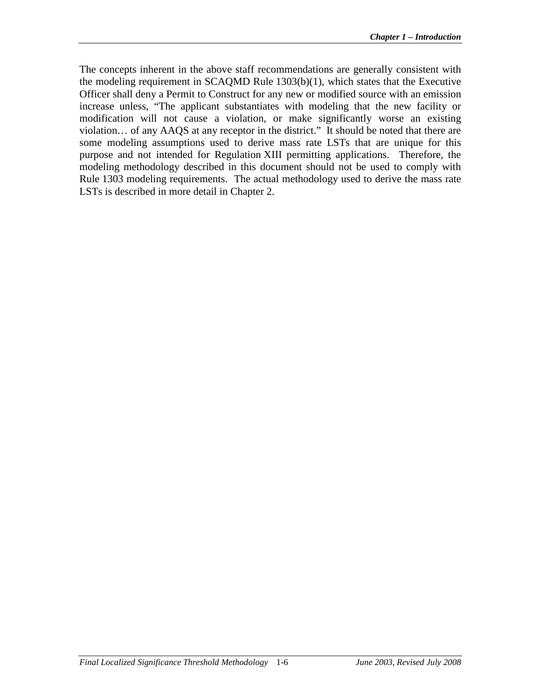The concepts inherent in the above staff recommendations are generally consistent with the modeling requirement in SCAQMD Rule 1303(b)(1), which states that the Executive Officer shall deny a Permit to Construct for any new or modified source with an emission increase unless, "The applicant substantiates with modeling that the new facility or modification will not cause a violation, or make significantly worse an existing violation… of any AAQS at any receptor in the district." It should be noted that there are some modeling assumptions used to derive mass rate LSTs that are unique for this purpose and not intended for Regulation XIII permitting applications. Therefore, the modeling methodology described in this document should not be used to comply with Rule 1303 modeling requirements. The actual methodology used to derive the mass rate LSTs is described in more detail in Chapter 2.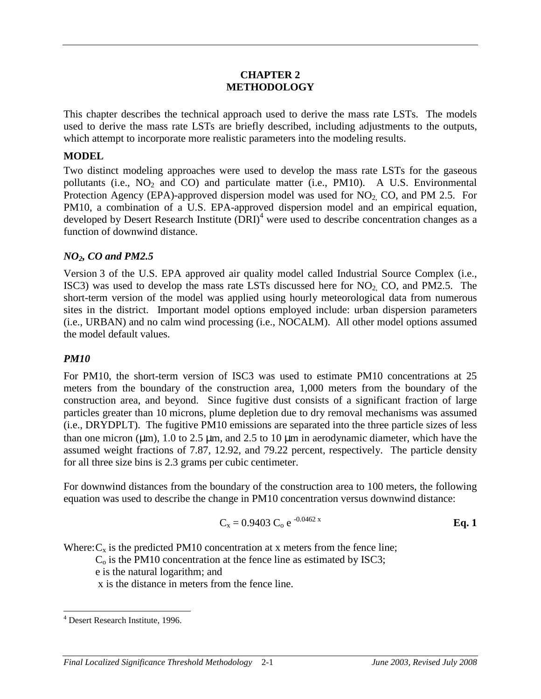#### **CHAPTER 2 METHODOLOGY**

This chapter describes the technical approach used to derive the mass rate LSTs. The models used to derive the mass rate LSTs are briefly described, including adjustments to the outputs, which attempt to incorporate more realistic parameters into the modeling results.

#### **MODEL**

Two distinct modeling approaches were used to develop the mass rate LSTs for the gaseous pollutants (i.e.,  $NO<sub>2</sub>$  and  $CO$ ) and particulate matter (i.e., PM10). A U.S. Environmental Protection Agency (EPA)-approved dispersion model was used for  $NO<sub>2</sub>$ , CO, and PM 2.5. For PM10, a combination of a U.S. EPA-approved dispersion model and an empirical equation, developed by Desert Research Institute (DRI)<sup>4</sup> were used to describe concentration changes as a function of downwind distance.

#### *NO2, CO and PM2.5*

Version 3 of the U.S. EPA approved air quality model called Industrial Source Complex (i.e., ISC3) was used to develop the mass rate LSTs discussed here for  $NO<sub>2</sub>$ , CO, and PM2.5. The short-term version of the model was applied using hourly meteorological data from numerous sites in the district. Important model options employed include: urban dispersion parameters (i.e., URBAN) and no calm wind processing (i.e., NOCALM). All other model options assumed the model default values.

#### *PM10*

For PM10, the short-term version of ISC3 was used to estimate PM10 concentrations at 25 meters from the boundary of the construction area, 1,000 meters from the boundary of the construction area, and beyond. Since fugitive dust consists of a significant fraction of large particles greater than 10 microns, plume depletion due to dry removal mechanisms was assumed (i.e., DRYDPLT). The fugitive PM10 emissions are separated into the three particle sizes of less than one micron ( $\mu$ m), 1.0 to 2.5  $\mu$ m, and 2.5 to 10  $\mu$ m in aerodynamic diameter, which have the assumed weight fractions of 7.87, 12.92, and 79.22 percent, respectively. The particle density for all three size bins is 2.3 grams per cubic centimeter.

For downwind distances from the boundary of the construction area to 100 meters, the following equation was used to describe the change in PM10 concentration versus downwind distance:

$$
C_x = 0.9403 C_0 e^{-0.0462 x}
$$
 Eq. 1

Where:  $C_x$  is the predicted PM10 concentration at x meters from the fence line;

 $C<sub>o</sub>$  is the PM10 concentration at the fence line as estimated by ISC3;

e is the natural logarithm; and

x is the distance in meters from the fence line.

 4 Desert Research Institute, 1996.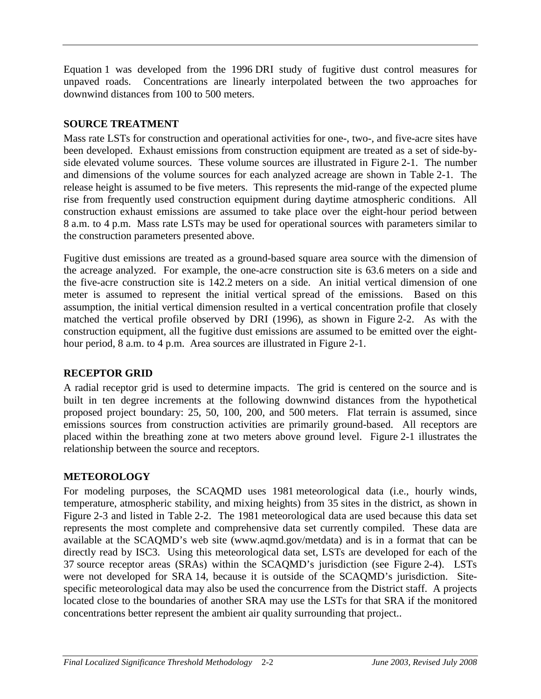Equation 1 was developed from the 1996 DRI study of fugitive dust control measures for unpaved roads. Concentrations are linearly interpolated between the two approaches for downwind distances from 100 to 500 meters.

## **SOURCE TREATMENT**

Mass rate LSTs for construction and operational activities for one-, two-, and five-acre sites have been developed. Exhaust emissions from construction equipment are treated as a set of side-byside elevated volume sources. These volume sources are illustrated in Figure 2-1. The number and dimensions of the volume sources for each analyzed acreage are shown in Table 2-1. The release height is assumed to be five meters. This represents the mid-range of the expected plume rise from frequently used construction equipment during daytime atmospheric conditions. All construction exhaust emissions are assumed to take place over the eight-hour period between 8 a.m. to 4 p.m. Mass rate LSTs may be used for operational sources with parameters similar to the construction parameters presented above.

Fugitive dust emissions are treated as a ground-based square area source with the dimension of the acreage analyzed. For example, the one-acre construction site is 63.6 meters on a side and the five-acre construction site is 142.2 meters on a side. An initial vertical dimension of one meter is assumed to represent the initial vertical spread of the emissions. Based on this assumption, the initial vertical dimension resulted in a vertical concentration profile that closely matched the vertical profile observed by DRI (1996), as shown in Figure 2-2. As with the construction equipment, all the fugitive dust emissions are assumed to be emitted over the eighthour period, 8 a.m. to 4 p.m. Area sources are illustrated in Figure 2-1.

### **RECEPTOR GRID**

A radial receptor grid is used to determine impacts. The grid is centered on the source and is built in ten degree increments at the following downwind distances from the hypothetical proposed project boundary: 25, 50, 100, 200, and 500 meters. Flat terrain is assumed, since emissions sources from construction activities are primarily ground-based. All receptors are placed within the breathing zone at two meters above ground level. Figure 2-1 illustrates the relationship between the source and receptors.

## **METEOROLOGY**

For modeling purposes, the SCAQMD uses 1981 meteorological data (i.e., hourly winds, temperature, atmospheric stability, and mixing heights) from 35 sites in the district, as shown in Figure 2-3 and listed in Table 2-2. The 1981 meteorological data are used because this data set represents the most complete and comprehensive data set currently compiled. These data are available at the SCAQMD's web site (www.aqmd.gov/metdata) and is in a format that can be directly read by ISC3. Using this meteorological data set, LSTs are developed for each of the 37 source receptor areas (SRAs) within the SCAQMD's jurisdiction (see Figure 2-4). LSTs were not developed for SRA 14, because it is outside of the SCAQMD's jurisdiction. Sitespecific meteorological data may also be used the concurrence from the District staff. A projects located close to the boundaries of another SRA may use the LSTs for that SRA if the monitored concentrations better represent the ambient air quality surrounding that project..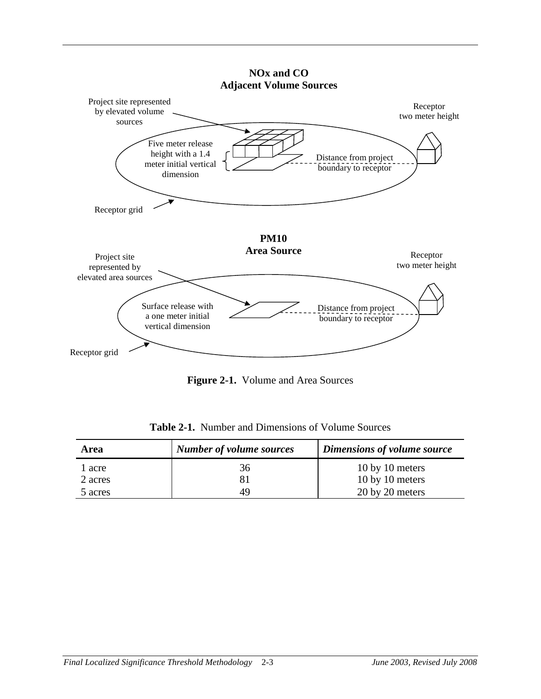

**NOx and CO Adjacent Volume Sources**

**Figure 2-1.** Volume and Area Sources

| Area              | <b>Number of volume sources</b> | Dimensions of volume source        |
|-------------------|---------------------------------|------------------------------------|
| l acre<br>2 acres | 36<br>81                        | 10 by 10 meters<br>10 by 10 meters |
| 5 acres           | 49                              | 20 by 20 meters                    |

**Table 2-1.** Number and Dimensions of Volume Sources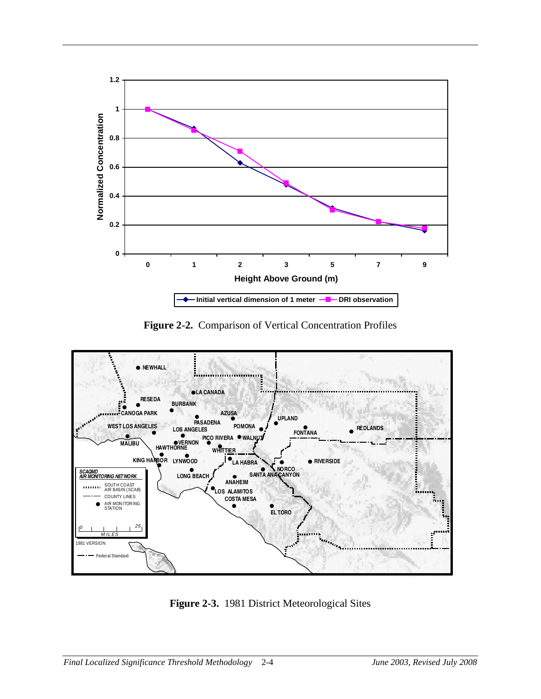

**Figure 2-2.** Comparison of Vertical Concentration Profiles



**Figure 2-3.** 1981 District Meteorological Sites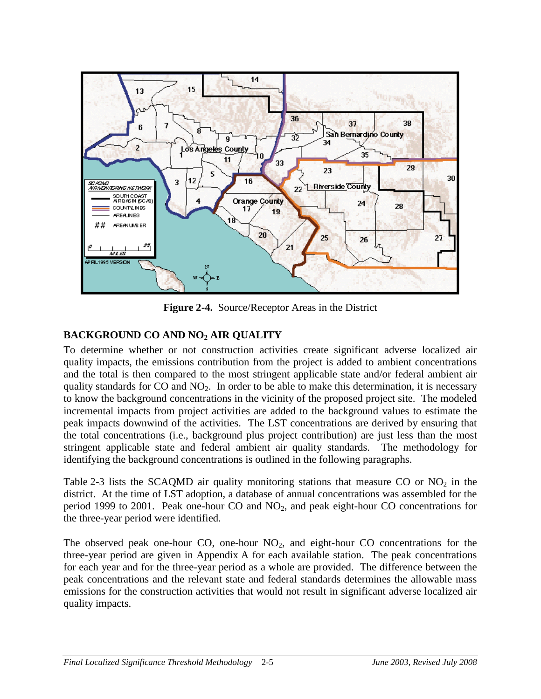

**Figure 2-4.** Source/Receptor Areas in the District

## **BACKGROUND CO AND NO2 AIR QUALITY**

To determine whether or not construction activities create significant adverse localized air quality impacts, the emissions contribution from the project is added to ambient concentrations and the total is then compared to the most stringent applicable state and/or federal ambient air quality standards for  $CO$  and  $NO<sub>2</sub>$ . In order to be able to make this determination, it is necessary to know the background concentrations in the vicinity of the proposed project site. The modeled incremental impacts from project activities are added to the background values to estimate the peak impacts downwind of the activities. The LST concentrations are derived by ensuring that the total concentrations (i.e., background plus project contribution) are just less than the most stringent applicable state and federal ambient air quality standards. The methodology for identifying the background concentrations is outlined in the following paragraphs.

Table 2-3 lists the SCAQMD air quality monitoring stations that measure CO or  $NO<sub>2</sub>$  in the district. At the time of LST adoption, a database of annual concentrations was assembled for the period 1999 to 2001. Peak one-hour CO and NO2, and peak eight-hour CO concentrations for the three-year period were identified.

The observed peak one-hour CO, one-hour  $NO<sub>2</sub>$ , and eight-hour CO concentrations for the three-year period are given in Appendix A for each available station. The peak concentrations for each year and for the three-year period as a whole are provided. The difference between the peak concentrations and the relevant state and federal standards determines the allowable mass emissions for the construction activities that would not result in significant adverse localized air quality impacts.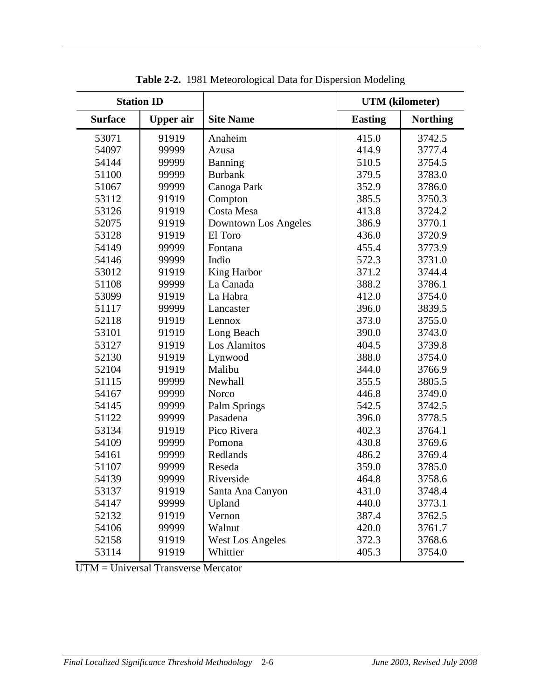| <b>Station ID</b> |                  |                         | <b>UTM</b> (kilometer) |                 |
|-------------------|------------------|-------------------------|------------------------|-----------------|
| <b>Surface</b>    | <b>Upper</b> air | <b>Site Name</b>        | <b>Easting</b>         | <b>Northing</b> |
| 53071             | 91919            | Anaheim                 | 415.0                  | 3742.5          |
| 54097             | 99999            | Azusa                   | 414.9                  | 3777.4          |
| 54144             | 99999            | Banning                 | 510.5                  | 3754.5          |
| 51100             | 99999            | <b>Burbank</b>          | 379.5                  | 3783.0          |
| 51067             | 99999            | Canoga Park             | 352.9                  | 3786.0          |
| 53112             | 91919            | Compton                 | 385.5                  | 3750.3          |
| 53126             | 91919            | Costa Mesa              | 413.8                  | 3724.2          |
| 52075             | 91919            | Downtown Los Angeles    | 386.9                  | 3770.1          |
| 53128             | 91919            | El Toro                 | 436.0                  | 3720.9          |
| 54149             | 99999            | Fontana                 | 455.4                  | 3773.9          |
| 54146             | 99999            | Indio                   | 572.3                  | 3731.0          |
| 53012             | 91919            | King Harbor             | 371.2                  | 3744.4          |
| 51108             | 99999            | La Canada               | 388.2                  | 3786.1          |
| 53099             | 91919            | La Habra                | 412.0                  | 3754.0          |
| 51117             | 99999            | Lancaster               | 396.0                  | 3839.5          |
| 52118             | 91919            | Lennox                  | 373.0                  | 3755.0          |
| 53101             | 91919            | Long Beach              | 390.0                  | 3743.0          |
| 53127             | 91919            | Los Alamitos            | 404.5                  | 3739.8          |
| 52130             | 91919            | Lynwood                 | 388.0                  | 3754.0          |
| 52104             | 91919            | Malibu                  | 344.0                  | 3766.9          |
| 51115             | 99999            | Newhall                 | 355.5                  | 3805.5          |
| 54167             | 99999            | Norco                   | 446.8                  | 3749.0          |
| 54145             | 99999            | <b>Palm Springs</b>     | 542.5                  | 3742.5          |
| 51122             | 99999            | Pasadena                | 396.0                  | 3778.5          |
| 53134             | 91919            | Pico Rivera             | 402.3                  | 3764.1          |
| 54109             | 99999            | Pomona                  | 430.8                  | 3769.6          |
| 54161             | 99999            | Redlands                | 486.2                  | 3769.4          |
| 51107             | 99999            | Reseda                  | 359.0                  | 3785.0          |
| 54139             | 99999            | Riverside               | 464.8                  | 3758.6          |
| 53137             | 91919            | Santa Ana Canyon        | 431.0                  | 3748.4          |
| 54147             | 99999            | Upland                  | 440.0                  | 3773.1          |
| 52132             | 91919            | Vernon                  | 387.4                  | 3762.5          |
| 54106             | 99999            | Walnut                  | 420.0                  | 3761.7          |
| 52158             | 91919            | <b>West Los Angeles</b> | 372.3                  | 3768.6          |
| 53114             | 91919            | Whittier                | 405.3                  | 3754.0          |

**Table 2-2.** 1981 Meteorological Data for Dispersion Modeling

UTM = Universal Transverse Mercator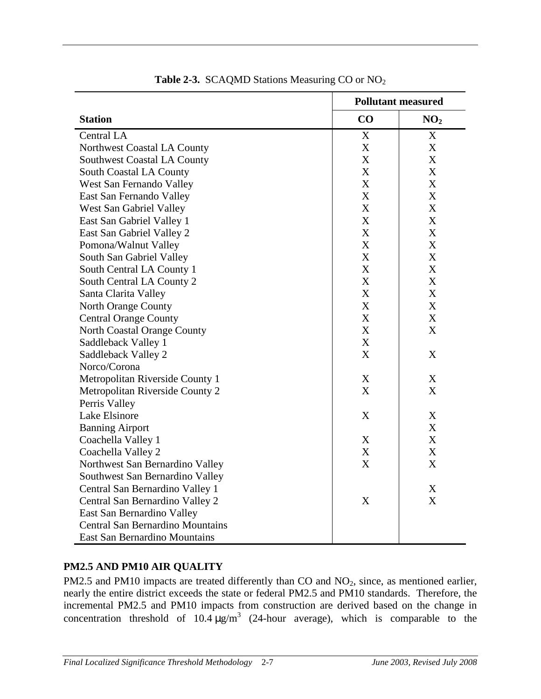|                                         | <b>Pollutant measured</b> |                           |
|-----------------------------------------|---------------------------|---------------------------|
| <b>Station</b>                          | CO                        | NO <sub>2</sub>           |
| Central LA                              | X                         | X                         |
| Northwest Coastal LA County             | $\boldsymbol{\mathrm{X}}$ | $\mathbf X$               |
| Southwest Coastal LA County             | $\mathbf X$               | X                         |
| South Coastal LA County                 | $\boldsymbol{\mathrm{X}}$ | $\boldsymbol{\mathrm{X}}$ |
| West San Fernando Valley                | X                         | X                         |
| East San Fernando Valley                | X                         | X                         |
| West San Gabriel Valley                 | X                         | X                         |
| East San Gabriel Valley 1               | X                         | X                         |
| East San Gabriel Valley 2               | X                         | X                         |
| Pomona/Walnut Valley                    | X                         | X                         |
| South San Gabriel Valley                | X                         | X                         |
| South Central LA County 1               | X                         | $\boldsymbol{X}$          |
| South Central LA County 2               | X                         | $\boldsymbol{X}$          |
| Santa Clarita Valley                    | X                         | X                         |
| North Orange County                     | X                         | $\boldsymbol{X}$          |
| <b>Central Orange County</b>            | X                         | X                         |
| North Coastal Orange County             | X                         | X                         |
| Saddleback Valley 1                     | X                         |                           |
| Saddleback Valley 2                     | X                         | X                         |
| Norco/Corona                            |                           |                           |
| Metropolitan Riverside County 1         | X                         | X                         |
| Metropolitan Riverside County 2         | X                         | X                         |
| Perris Valley                           |                           |                           |
| Lake Elsinore                           | X                         | X                         |
| <b>Banning Airport</b>                  |                           | X                         |
| Coachella Valley 1                      | X                         | $\boldsymbol{X}$          |
| Coachella Valley 2                      | X                         | X                         |
| Northwest San Bernardino Valley         | X                         | X                         |
| Southwest San Bernardino Valley         |                           |                           |
| Central San Bernardino Valley 1         |                           | X                         |
| Central San Bernardino Valley 2         | X                         | $\boldsymbol{\mathrm{X}}$ |
| East San Bernardino Valley              |                           |                           |
| <b>Central San Bernardino Mountains</b> |                           |                           |
| East San Bernardino Mountains           |                           |                           |

**Table 2-3.** SCAQMD Stations Measuring CO or NO<sub>2</sub>

#### **PM2.5 AND PM10 AIR QUALITY**

PM2.5 and PM10 impacts are treated differently than CO and NO<sub>2</sub>, since, as mentioned earlier, nearly the entire district exceeds the state or federal PM2.5 and PM10 standards. Therefore, the incremental PM2.5 and PM10 impacts from construction are derived based on the change in concentration threshold of  $10.4 \mu g/m^3$  (24-hour average), which is comparable to the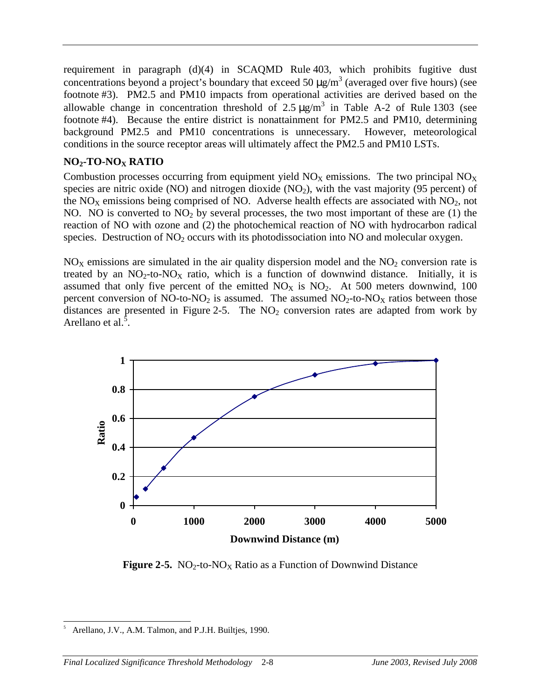requirement in paragraph (d)(4) in SCAQMD Rule 403, which prohibits fugitive dust concentrations beyond a project's boundary that exceed 50  $\mu$ g/m<sup>3</sup> (averaged over five hours) (see footnote #3). PM2.5 and PM10 impacts from operational activities are derived based on the allowable change in concentration threshold of  $2.5 \mu g/m^3$  in Table A-2 of Rule 1303 (see footnote #4). Because the entire district is nonattainment for PM2.5 and PM10, determining background PM2.5 and PM10 concentrations is unnecessary. However, meteorological conditions in the source receptor areas will ultimately affect the PM2.5 and PM10 LSTs.

## **NO2-TO-NOX RATIO**

Combustion processes occurring from equipment yield  $NO<sub>X</sub>$  emissions. The two principal  $NO<sub>X</sub>$ species are nitric oxide (NO) and nitrogen dioxide (NO<sub>2</sub>), with the vast majority (95 percent) of the NO<sub>X</sub> emissions being comprised of NO. Adverse health effects are associated with  $NO<sub>2</sub>$ , not NO. NO is converted to  $NO<sub>2</sub>$  by several processes, the two most important of these are (1) the reaction of NO with ozone and (2) the photochemical reaction of NO with hydrocarbon radical species. Destruction of NO<sub>2</sub> occurs with its photodissociation into NO and molecular oxygen.

 $NO<sub>X</sub>$  emissions are simulated in the air quality dispersion model and the  $NO<sub>2</sub>$  conversion rate is treated by an  $NO<sub>2</sub>$ -to- $NO<sub>X</sub>$  ratio, which is a function of downwind distance. Initially, it is assumed that only five percent of the emitted  $NO<sub>X</sub>$  is  $NO<sub>2</sub>$ . At 500 meters downwind, 100 percent conversion of NO-to-NO<sub>2</sub> is assumed. The assumed  $NO<sub>2</sub>$ -to-NO<sub>X</sub> ratios between those distances are presented in Figure 2-5. The  $NO<sub>2</sub>$  conversion rates are adapted from work by Arellano et al.<sup>5</sup>.



**Figure 2-5.** NO<sub>2</sub>-to-NO<sub>X</sub> Ratio as a Function of Downwind Distance

 $\overline{a}$ 5 Arellano, J.V., A.M. Talmon, and P.J.H. Builtjes, 1990.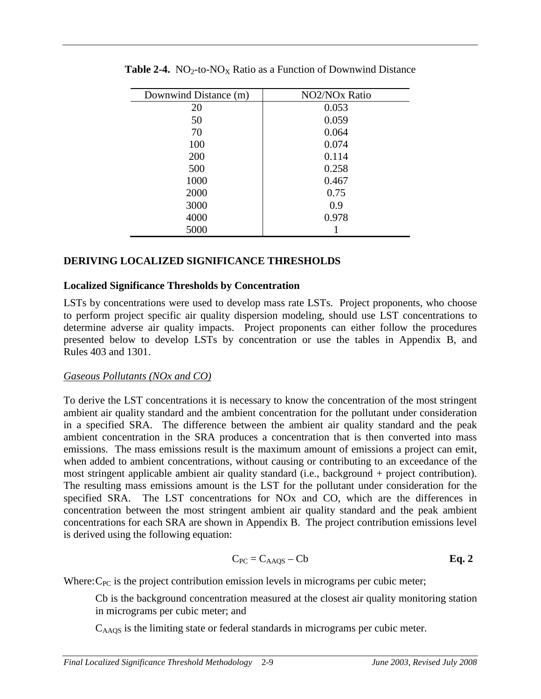| Downwind Distance (m) | NO2/NO <sub>x</sub> Ratio |
|-----------------------|---------------------------|
| 20                    | 0.053                     |
| 50                    | 0.059                     |
| 70                    | 0.064                     |
| 100                   | 0.074                     |
| 200                   | 0.114                     |
| 500                   | 0.258                     |
| 1000                  | 0.467                     |
| 2000                  | 0.75                      |
| 3000                  | 0.9                       |
| 4000                  | 0.978                     |
| 5000                  |                           |

**Table 2-4.**  $NO_2$ -to- $NO_X$  Ratio as a Function of Downwind Distance

### **DERIVING LOCALIZED SIGNIFICANCE THRESHOLDS**

#### **Localized Significance Thresholds by Concentration**

LSTs by concentrations were used to develop mass rate LSTs. Project proponents, who choose to perform project specific air quality dispersion modeling, should use LST concentrations to determine adverse air quality impacts. Project proponents can either follow the procedures presented below to develop LSTs by concentration or use the tables in Appendix B, and Rules 403 and 1301.

#### *Gaseous Pollutants (NOx and CO)*

To derive the LST concentrations it is necessary to know the concentration of the most stringent ambient air quality standard and the ambient concentration for the pollutant under consideration in a specified SRA. The difference between the ambient air quality standard and the peak ambient concentration in the SRA produces a concentration that is then converted into mass emissions. The mass emissions result is the maximum amount of emissions a project can emit, when added to ambient concentrations, without causing or contributing to an exceedance of the most stringent applicable ambient air quality standard (i.e., background + project contribution). The resulting mass emissions amount is the LST for the pollutant under consideration for the specified SRA. The LST concentrations for NOx and CO, which are the differences in concentration between the most stringent ambient air quality standard and the peak ambient concentrations for each SRA are shown in Appendix B. The project contribution emissions level is derived using the following equation:

$$
C_{PC} = C_{AAQS} - Cb
$$
 Eq. 2

Where:  $C_{PC}$  is the project contribution emission levels in micrograms per cubic meter;

Cb is the background concentration measured at the closest air quality monitoring station in micrograms per cubic meter; and

 $C_{\text{AAOS}}$  is the limiting state or federal standards in micrograms per cubic meter.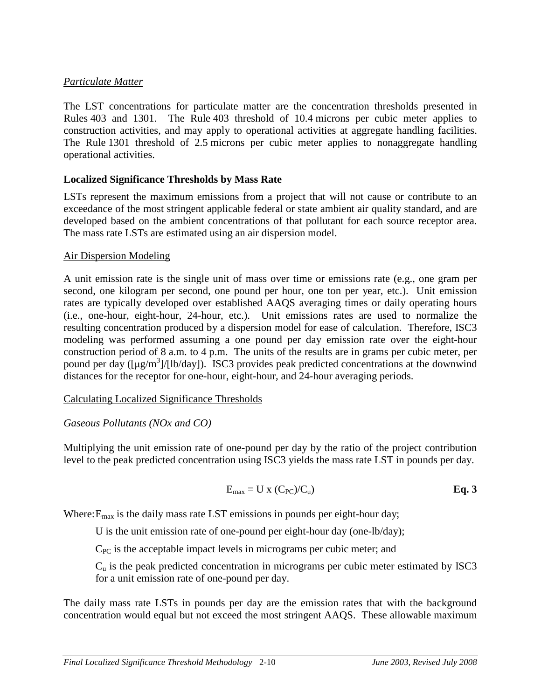#### *Particulate Matter*

The LST concentrations for particulate matter are the concentration thresholds presented in Rules 403 and 1301. The Rule 403 threshold of 10.4 microns per cubic meter applies to construction activities, and may apply to operational activities at aggregate handling facilities. The Rule 1301 threshold of 2.5 microns per cubic meter applies to nonaggregate handling operational activities.

#### **Localized Significance Thresholds by Mass Rate**

LSTs represent the maximum emissions from a project that will not cause or contribute to an exceedance of the most stringent applicable federal or state ambient air quality standard, and are developed based on the ambient concentrations of that pollutant for each source receptor area. The mass rate LSTs are estimated using an air dispersion model.

#### Air Dispersion Modeling

A unit emission rate is the single unit of mass over time or emissions rate (e.g., one gram per second, one kilogram per second, one pound per hour, one ton per year, etc.). Unit emission rates are typically developed over established AAQS averaging times or daily operating hours (i.e., one-hour, eight-hour, 24-hour, etc.). Unit emissions rates are used to normalize the resulting concentration produced by a dispersion model for ease of calculation. Therefore, ISC3 modeling was performed assuming a one pound per day emission rate over the eight-hour construction period of 8 a.m. to 4 p.m. The units of the results are in grams per cubic meter, per pound per day ([µg/m<sup>3</sup>]/[lb/day]). ISC3 provides peak predicted concentrations at the downwind distances for the receptor for one-hour, eight-hour, and 24-hour averaging periods.

Calculating Localized Significance Thresholds

#### *Gaseous Pollutants (NOx and CO)*

Multiplying the unit emission rate of one-pound per day by the ratio of the project contribution level to the peak predicted concentration using ISC3 yields the mass rate LST in pounds per day.

$$
E_{\text{max}} = U \times (C_{\text{PC}}) / C_u
$$
 Eq. 3

Where:  $E_{\text{max}}$  is the daily mass rate LST emissions in pounds per eight-hour day;

U is the unit emission rate of one-pound per eight-hour day (one-lb/day);

 $C_{PC}$  is the acceptable impact levels in micrograms per cubic meter; and

Cu is the peak predicted concentration in micrograms per cubic meter estimated by ISC3 for a unit emission rate of one-pound per day.

The daily mass rate LSTs in pounds per day are the emission rates that with the background concentration would equal but not exceed the most stringent AAQS. These allowable maximum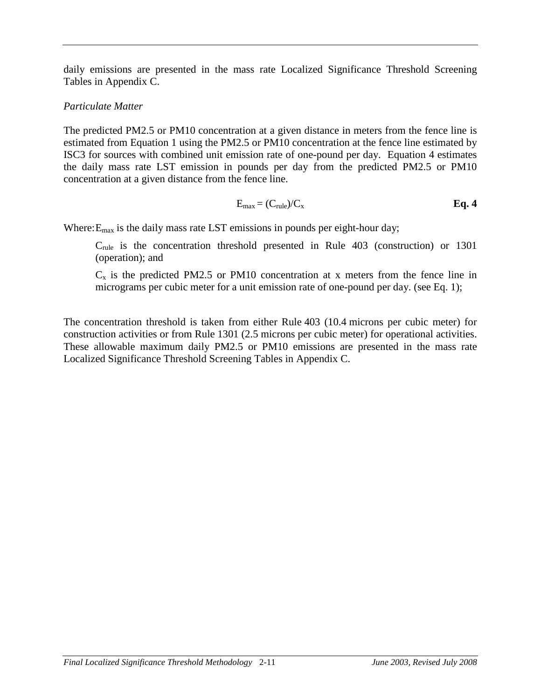daily emissions are presented in the mass rate Localized Significance Threshold Screening Tables in Appendix C.

#### *Particulate Matter*

The predicted PM2.5 or PM10 concentration at a given distance in meters from the fence line is estimated from Equation 1 using the PM2.5 or PM10 concentration at the fence line estimated by ISC3 for sources with combined unit emission rate of one-pound per day. Equation 4 estimates the daily mass rate LST emission in pounds per day from the predicted PM2.5 or PM10 concentration at a given distance from the fence line.

$$
E_{\text{max}} = (C_{\text{rule}})/C_{\text{x}}
$$
 Eq. 4

Where:  $E_{\text{max}}$  is the daily mass rate LST emissions in pounds per eight-hour day;

Crule is the concentration threshold presented in Rule 403 (construction) or 1301 (operation); and

 $C_x$  is the predicted PM2.5 or PM10 concentration at x meters from the fence line in micrograms per cubic meter for a unit emission rate of one-pound per day. (see Eq. 1);

The concentration threshold is taken from either Rule 403 (10.4 microns per cubic meter) for construction activities or from Rule 1301 (2.5 microns per cubic meter) for operational activities. These allowable maximum daily PM2.5 or PM10 emissions are presented in the mass rate Localized Significance Threshold Screening Tables in Appendix C.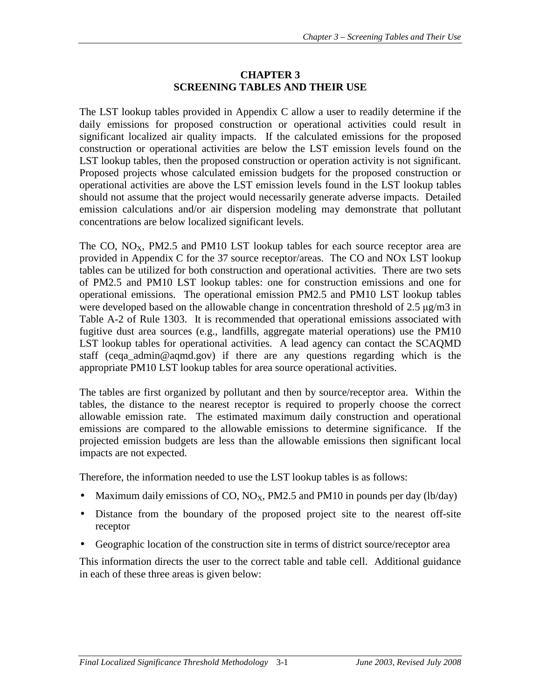### **CHAPTER 3 SCREENING TABLES AND THEIR USE**

The LST lookup tables provided in Appendix C allow a user to readily determine if the daily emissions for proposed construction or operational activities could result in significant localized air quality impacts. If the calculated emissions for the proposed construction or operational activities are below the LST emission levels found on the LST lookup tables, then the proposed construction or operation activity is not significant. Proposed projects whose calculated emission budgets for the proposed construction or operational activities are above the LST emission levels found in the LST lookup tables should not assume that the project would necessarily generate adverse impacts. Detailed emission calculations and/or air dispersion modeling may demonstrate that pollutant concentrations are below localized significant levels.

The CO,  $NO<sub>X</sub>$ , PM2.5 and PM10 LST lookup tables for each source receptor area are provided in Appendix C for the 37 source receptor/areas. The CO and NOx LST lookup tables can be utilized for both construction and operational activities. There are two sets of PM2.5 and PM10 LST lookup tables: one for construction emissions and one for operational emissions. The operational emission PM2.5 and PM10 LST lookup tables were developed based on the allowable change in concentration threshold of  $2.5 \mu g/m3$  in Table A-2 of Rule 1303. It is recommended that operational emissions associated with fugitive dust area sources (e.g., landfills, aggregate material operations) use the PM10 LST lookup tables for operational activities. A lead agency can contact the SCAQMD staff (ceqa\_admin@aqmd.gov) if there are any questions regarding which is the appropriate PM10 LST lookup tables for area source operational activities.

The tables are first organized by pollutant and then by source/receptor area. Within the tables, the distance to the nearest receptor is required to properly choose the correct allowable emission rate. The estimated maximum daily construction and operational emissions are compared to the allowable emissions to determine significance. If the projected emission budgets are less than the allowable emissions then significant local impacts are not expected.

Therefore, the information needed to use the LST lookup tables is as follows:

- Maximum daily emissions of CO,  $NO_x$ , PM2.5 and PM10 in pounds per day (lb/day)
- Distance from the boundary of the proposed project site to the nearest off-site receptor
- Geographic location of the construction site in terms of district source/receptor area

This information directs the user to the correct table and table cell. Additional guidance in each of these three areas is given below: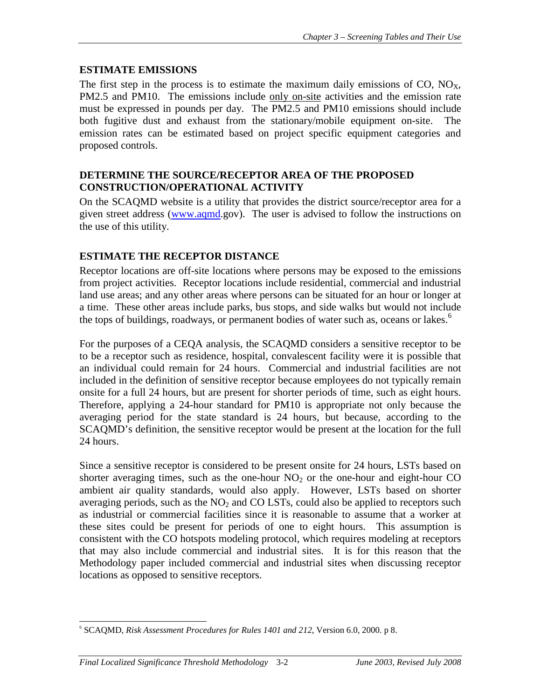## **ESTIMATE EMISSIONS**

The first step in the process is to estimate the maximum daily emissions of  $CO$ ,  $NO<sub>x</sub>$ , PM2.5 and PM10. The emissions include only on-site activities and the emission rate must be expressed in pounds per day. The PM2.5 and PM10 emissions should include both fugitive dust and exhaust from the stationary/mobile equipment on-site. The emission rates can be estimated based on project specific equipment categories and proposed controls.

#### **DETERMINE THE SOURCE/RECEPTOR AREA OF THE PROPOSED CONSTRUCTION/OPERATIONAL ACTIVITY**

On the SCAQMD website is a utility that provides the district source/receptor area for a given street address (www.aqmd.gov). The user is advised to follow the instructions on the use of this utility.

## **ESTIMATE THE RECEPTOR DISTANCE**

Receptor locations are off-site locations where persons may be exposed to the emissions from project activities. Receptor locations include residential, commercial and industrial land use areas; and any other areas where persons can be situated for an hour or longer at a time. These other areas include parks, bus stops, and side walks but would not include the tops of buildings, roadways, or permanent bodies of water such as, oceans or lakes.<sup>6</sup>

For the purposes of a CEQA analysis, the SCAQMD considers a sensitive receptor to be to be a receptor such as residence, hospital, convalescent facility were it is possible that an individual could remain for 24 hours. Commercial and industrial facilities are not included in the definition of sensitive receptor because employees do not typically remain onsite for a full 24 hours, but are present for shorter periods of time, such as eight hours. Therefore, applying a 24-hour standard for PM10 is appropriate not only because the averaging period for the state standard is 24 hours, but because, according to the SCAQMD's definition, the sensitive receptor would be present at the location for the full 24 hours.

Since a sensitive receptor is considered to be present onsite for 24 hours, LSTs based on shorter averaging times, such as the one-hour  $NO<sub>2</sub>$  or the one-hour and eight-hour CO ambient air quality standards, would also apply. However, LSTs based on shorter averaging periods, such as the  $NO<sub>2</sub>$  and  $CO$  LSTs, could also be applied to receptors such as industrial or commercial facilities since it is reasonable to assume that a worker at these sites could be present for periods of one to eight hours. This assumption is consistent with the CO hotspots modeling protocol, which requires modeling at receptors that may also include commercial and industrial sites. It is for this reason that the Methodology paper included commercial and industrial sites when discussing receptor locations as opposed to sensitive receptors.

 $\overline{a}$ 6 SCAQMD, *Risk Assessment Procedures for Rules 1401 and 212*, Version 6.0, 2000. p 8.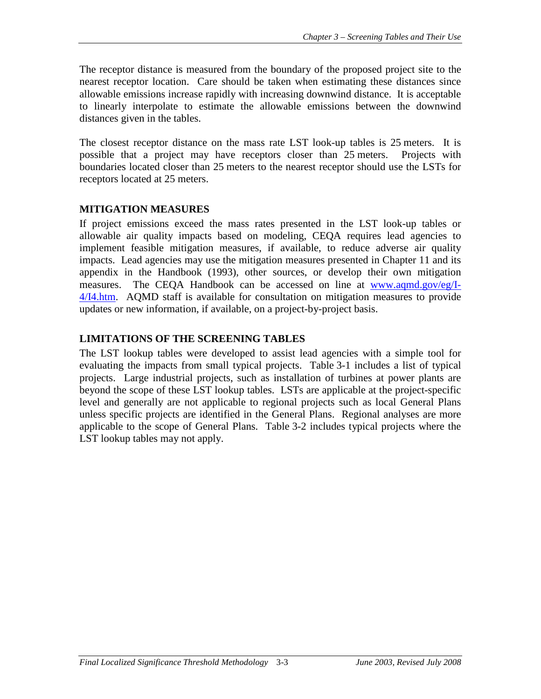The receptor distance is measured from the boundary of the proposed project site to the nearest receptor location. Care should be taken when estimating these distances since allowable emissions increase rapidly with increasing downwind distance. It is acceptable to linearly interpolate to estimate the allowable emissions between the downwind distances given in the tables.

The closest receptor distance on the mass rate LST look-up tables is 25 meters. It is possible that a project may have receptors closer than 25 meters. Projects with boundaries located closer than 25 meters to the nearest receptor should use the LSTs for receptors located at 25 meters.

## **MITIGATION MEASURES**

If project emissions exceed the mass rates presented in the LST look-up tables or allowable air quality impacts based on modeling, CEQA requires lead agencies to implement feasible mitigation measures, if available, to reduce adverse air quality impacts. Lead agencies may use the mitigation measures presented in Chapter 11 and its appendix in the Handbook (1993), other sources, or develop their own mitigation measures. The CEQA Handbook can be accessed on line at www.aqmd.gov/eg/I-4/I4.htm. AQMD staff is available for consultation on mitigation measures to provide updates or new information, if available, on a project-by-project basis.

## **LIMITATIONS OF THE SCREENING TABLES**

The LST lookup tables were developed to assist lead agencies with a simple tool for evaluating the impacts from small typical projects. Table 3-1 includes a list of typical projects. Large industrial projects, such as installation of turbines at power plants are beyond the scope of these LST lookup tables. LSTs are applicable at the project-specific level and generally are not applicable to regional projects such as local General Plans unless specific projects are identified in the General Plans. Regional analyses are more applicable to the scope of General Plans. Table 3-2 includes typical projects where the LST lookup tables may not apply.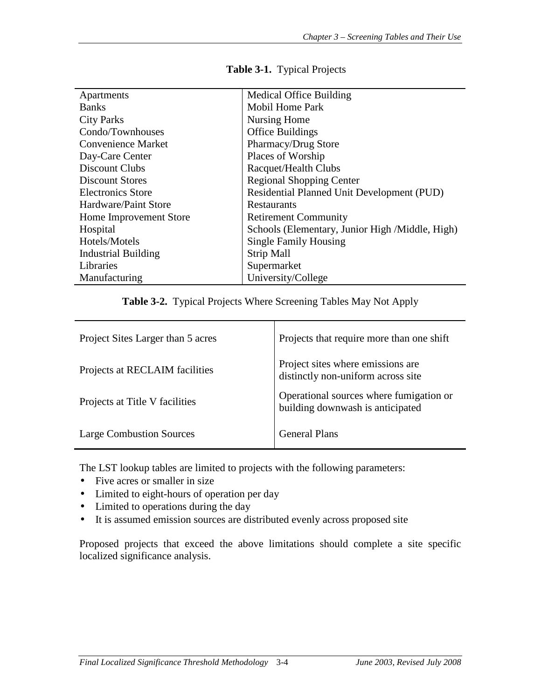| Apartments                 | <b>Medical Office Building</b>                  |
|----------------------------|-------------------------------------------------|
| <b>Banks</b>               | <b>Mobil Home Park</b>                          |
| <b>City Parks</b>          | Nursing Home                                    |
| Condo/Townhouses           | <b>Office Buildings</b>                         |
| <b>Convenience Market</b>  | Pharmacy/Drug Store                             |
| Day-Care Center            | Places of Worship                               |
| Discount Clubs             | Racquet/Health Clubs                            |
| Discount Stores            | <b>Regional Shopping Center</b>                 |
| <b>Electronics Store</b>   | Residential Planned Unit Development (PUD)      |
| Hardware/Paint Store       | Restaurants                                     |
| Home Improvement Store     | <b>Retirement Community</b>                     |
| Hospital                   | Schools (Elementary, Junior High /Middle, High) |
| Hotels/Motels              | <b>Single Family Housing</b>                    |
| <b>Industrial Building</b> | <b>Strip Mall</b>                               |
| Libraries                  | Supermarket                                     |
| Manufacturing              | University/College                              |

#### **Table 3-1.** Typical Projects

**Table 3-2.** Typical Projects Where Screening Tables May Not Apply

| Project Sites Larger than 5 acres | Projects that require more than one shift                                   |
|-----------------------------------|-----------------------------------------------------------------------------|
| Projects at RECLAIM facilities    | Project sites where emissions are<br>distinctly non-uniform across site     |
| Projects at Title V facilities    | Operational sources where fumigation or<br>building downwash is anticipated |
| <b>Large Combustion Sources</b>   | <b>General Plans</b>                                                        |

The LST lookup tables are limited to projects with the following parameters:

- Five acres or smaller in size
- Limited to eight-hours of operation per day
- Limited to operations during the day
- It is assumed emission sources are distributed evenly across proposed site

Proposed projects that exceed the above limitations should complete a site specific localized significance analysis.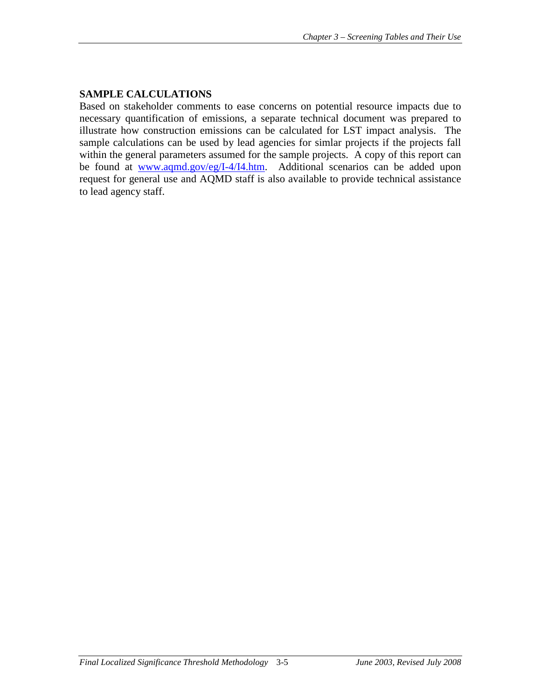## **SAMPLE CALCULATIONS**

Based on stakeholder comments to ease concerns on potential resource impacts due to necessary quantification of emissions, a separate technical document was prepared to illustrate how construction emissions can be calculated for LST impact analysis. The sample calculations can be used by lead agencies for simlar projects if the projects fall within the general parameters assumed for the sample projects. A copy of this report can be found at www.aqmd.gov/eg/I-4/I4.htm. Additional scenarios can be added upon request for general use and AQMD staff is also available to provide technical assistance to lead agency staff.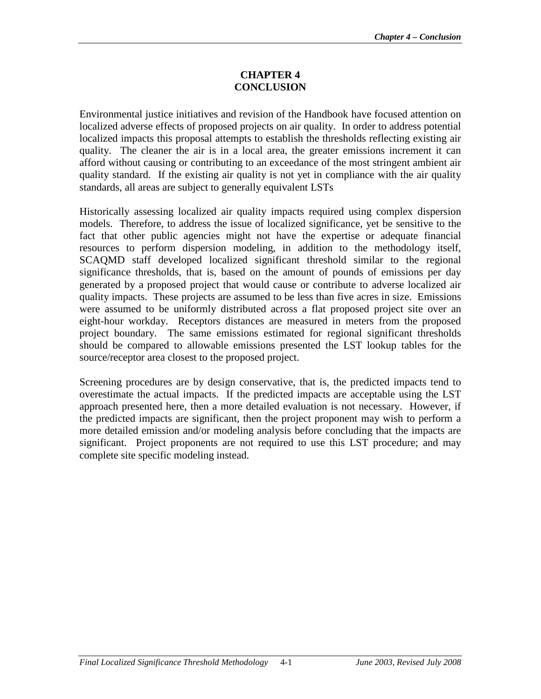#### **CHAPTER 4 CONCLUSION**

Environmental justice initiatives and revision of the Handbook have focused attention on localized adverse effects of proposed projects on air quality. In order to address potential localized impacts this proposal attempts to establish the thresholds reflecting existing air quality. The cleaner the air is in a local area, the greater emissions increment it can afford without causing or contributing to an exceedance of the most stringent ambient air quality standard. If the existing air quality is not yet in compliance with the air quality standards, all areas are subject to generally equivalent LSTs

Historically assessing localized air quality impacts required using complex dispersion models. Therefore, to address the issue of localized significance, yet be sensitive to the fact that other public agencies might not have the expertise or adequate financial resources to perform dispersion modeling, in addition to the methodology itself, SCAQMD staff developed localized significant threshold similar to the regional significance thresholds, that is, based on the amount of pounds of emissions per day generated by a proposed project that would cause or contribute to adverse localized air quality impacts. These projects are assumed to be less than five acres in size. Emissions were assumed to be uniformly distributed across a flat proposed project site over an eight-hour workday. Receptors distances are measured in meters from the proposed project boundary. The same emissions estimated for regional significant thresholds should be compared to allowable emissions presented the LST lookup tables for the source/receptor area closest to the proposed project.

Screening procedures are by design conservative, that is, the predicted impacts tend to overestimate the actual impacts. If the predicted impacts are acceptable using the LST approach presented here, then a more detailed evaluation is not necessary. However, if the predicted impacts are significant, then the project proponent may wish to perform a more detailed emission and/or modeling analysis before concluding that the impacts are significant. Project proponents are not required to use this LST procedure; and may complete site specific modeling instead.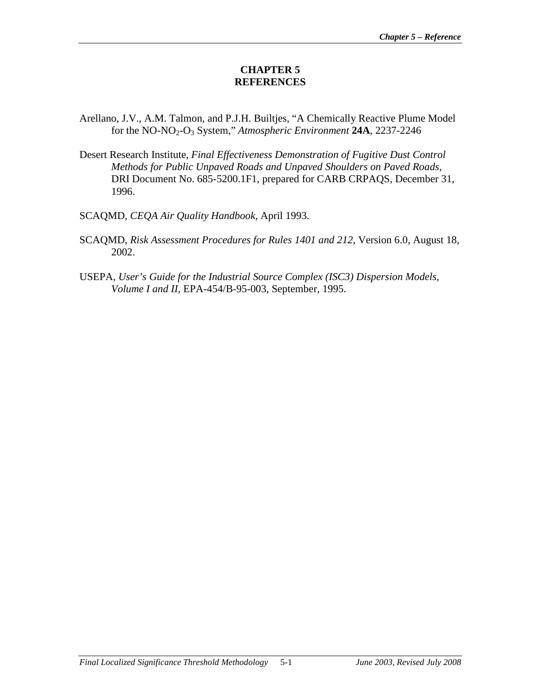#### **CHAPTER 5 REFERENCES**

- Arellano, J.V., A.M. Talmon, and P.J.H. Builtjes, "A Chemically Reactive Plume Model for the NO-NO2-O3 System," *Atmospheric Environment* **24A**, 2237-2246
- Desert Research Institute, *Final Effectiveness Demonstration of Fugitive Dust Control Methods for Public Unpaved Roads and Unpaved Shoulders on Paved Roads*, DRI Document No. 685-5200.1F1, prepared for CARB CRPAQS, December 31, 1996.
- SCAQMD, *CEQA Air Quality Handbook*, April 1993.
- SCAQMD, *Risk Assessment Procedures for Rules 1401 and 212*, Version 6.0, August 18, 2002.
- USEPA, *User's Guide for the Industrial Source Complex (ISC3) Dispersion Models, Volume I and II*, EPA-454/B-95-003, September, 1995.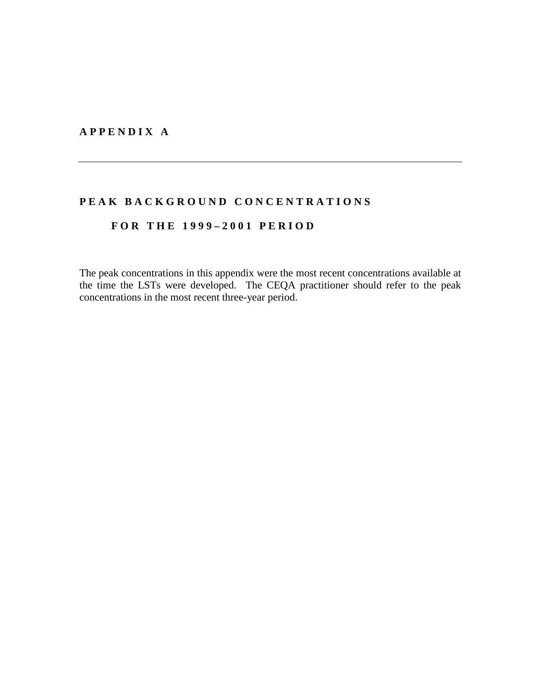#### **A P P E N D I X A**

# PEAK BACKGROUND CONCENTRATIONS

## **F O R T H E 1 9 9 9 – 2 0 0 1 P E R I O D**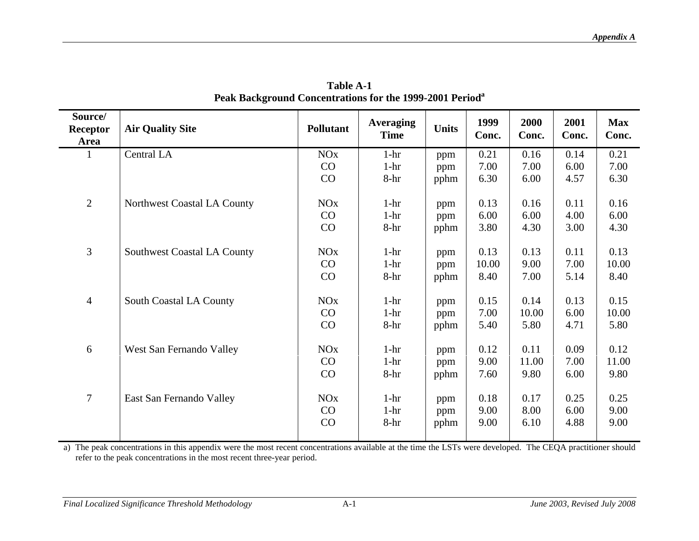| Source/<br><b>Receptor</b><br>Area | <b>Air Quality Site</b>            | <b>Pollutant</b>                  | <b>Averaging</b><br><b>Time</b> | <b>Units</b>       | 1999<br>Conc.         | 2000<br>Conc.         | 2001<br>Conc.        | <b>Max</b><br>Conc.   |
|------------------------------------|------------------------------------|-----------------------------------|---------------------------------|--------------------|-----------------------|-----------------------|----------------------|-----------------------|
| 1                                  | Central LA                         | <b>NO<sub>x</sub></b><br>CO<br>CO | $1-hr$<br>$1-hr$<br>8-hr        | ppm<br>ppm<br>pphm | 0.21<br>7.00<br>6.30  | 0.16<br>7.00<br>6.00  | 0.14<br>6.00<br>4.57 | 0.21<br>7.00<br>6.30  |
| $\overline{2}$                     | Northwest Coastal LA County        | <b>NO<sub>x</sub></b><br>CO<br>CO | $1-hr$<br>$1-hr$<br>$8-hr$      | ppm<br>ppm<br>pphm | 0.13<br>6.00<br>3.80  | 0.16<br>6.00<br>4.30  | 0.11<br>4.00<br>3.00 | 0.16<br>6.00<br>4.30  |
| 3                                  | <b>Southwest Coastal LA County</b> | <b>NO<sub>x</sub></b><br>CO<br>CO | $1-hr$<br>$1-hr$<br>8-hr        | ppm<br>ppm<br>pphm | 0.13<br>10.00<br>8.40 | 0.13<br>9.00<br>7.00  | 0.11<br>7.00<br>5.14 | 0.13<br>10.00<br>8.40 |
| $\overline{4}$                     | South Coastal LA County            | NOx<br>CO<br>CO                   | $1-hr$<br>$1-hr$<br>8-hr        | ppm<br>ppm<br>pphm | 0.15<br>7.00<br>5.40  | 0.14<br>10.00<br>5.80 | 0.13<br>6.00<br>4.71 | 0.15<br>10.00<br>5.80 |
| 6                                  | West San Fernando Valley           | <b>NO<sub>x</sub></b><br>CO<br>CO | $1-hr$<br>$1-hr$<br>$8-hr$      | ppm<br>ppm<br>pphm | 0.12<br>9.00<br>7.60  | 0.11<br>11.00<br>9.80 | 0.09<br>7.00<br>6.00 | 0.12<br>11.00<br>9.80 |
| $\overline{7}$                     | East San Fernando Valley           | <b>NO<sub>x</sub></b><br>CO<br>CO | $1-hr$<br>$1-hr$<br>8-hr        | ppm<br>ppm<br>pphm | 0.18<br>9.00<br>9.00  | 0.17<br>8.00<br>6.10  | 0.25<br>6.00<br>4.88 | 0.25<br>9.00<br>9.00  |

**Table A-1 Peak Background Concentrations for the 1999-2001 Period<sup>a</sup>**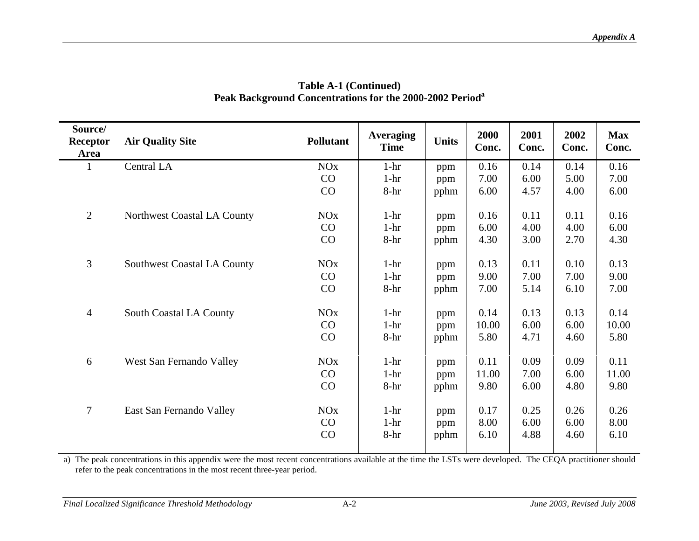| Source/<br>Receptor<br>Area | <b>Air Quality Site</b>            | <b>Pollutant</b>                  | <b>Averaging</b><br><b>Time</b> | <b>Units</b>       | 2000<br>Conc.         | 2001<br>Conc.        | 2002<br>Conc.        | <b>Max</b><br>Conc.   |
|-----------------------------|------------------------------------|-----------------------------------|---------------------------------|--------------------|-----------------------|----------------------|----------------------|-----------------------|
| 1                           | Central LA                         | <b>NO<sub>x</sub></b><br>CO<br>CO | $1-hr$<br>$1-hr$<br>$8-hr$      | ppm<br>ppm<br>pphm | 0.16<br>7.00<br>6.00  | 0.14<br>6.00<br>4.57 | 0.14<br>5.00<br>4.00 | 0.16<br>7.00<br>6.00  |
| $\overline{2}$              | Northwest Coastal LA County        | <b>NO<sub>x</sub></b><br>CO<br>CO | $1-hr$<br>$1-hr$<br>8-hr        | ppm<br>ppm<br>pphm | 0.16<br>6.00<br>4.30  | 0.11<br>4.00<br>3.00 | 0.11<br>4.00<br>2.70 | 0.16<br>6.00<br>4.30  |
| $\overline{3}$              | <b>Southwest Coastal LA County</b> | <b>NO<sub>x</sub></b><br>CO<br>CO | $1-hr$<br>$1-hr$<br>$8-hr$      | ppm<br>ppm<br>pphm | 0.13<br>9.00<br>7.00  | 0.11<br>7.00<br>5.14 | 0.10<br>7.00<br>6.10 | 0.13<br>9.00<br>7.00  |
| $\overline{4}$              | South Coastal LA County            | <b>NO<sub>x</sub></b><br>CO<br>CO | $1-hr$<br>$1-hr$<br>$8-hr$      | ppm<br>ppm<br>pphm | 0.14<br>10.00<br>5.80 | 0.13<br>6.00<br>4.71 | 0.13<br>6.00<br>4.60 | 0.14<br>10.00<br>5.80 |
| 6                           | West San Fernando Valley           | <b>NO<sub>x</sub></b><br>CO<br>CO | $1-hr$<br>$1-hr$<br>$8-hr$      | ppm<br>ppm<br>pphm | 0.11<br>11.00<br>9.80 | 0.09<br>7.00<br>6.00 | 0.09<br>6.00<br>4.80 | 0.11<br>11.00<br>9.80 |
| $\boldsymbol{7}$            | East San Fernando Valley           | <b>NO<sub>x</sub></b><br>CO<br>CO | $1-hr$<br>$1-hr$<br>$8-hr$      | ppm<br>ppm<br>pphm | 0.17<br>8.00<br>6.10  | 0.25<br>6.00<br>4.88 | 0.26<br>6.00<br>4.60 | 0.26<br>8.00<br>6.10  |

#### **Table A-1 (Continued) Peak Background Concentrations for the 2000-2002 Period<sup>a</sup>**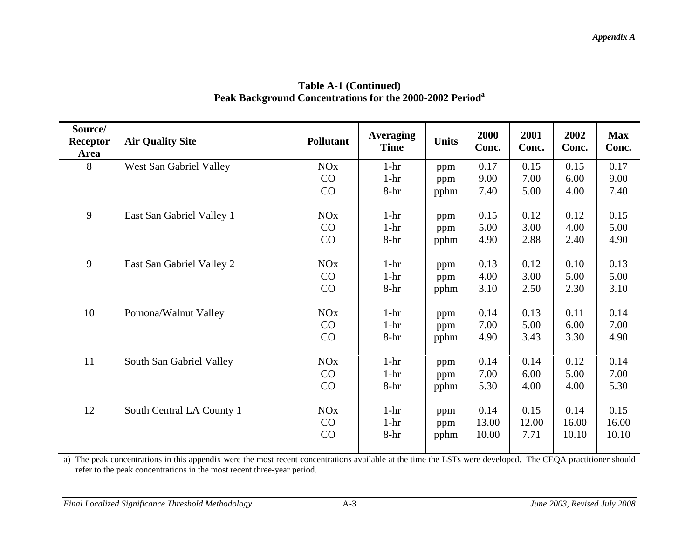| Source/<br>Receptor<br>Area | <b>Air Quality Site</b>   | <b>Pollutant</b>                  | <b>Averaging</b><br><b>Time</b> | <b>Units</b>       | 2000<br>Conc.          | 2001<br>Conc.         | 2002<br>Conc.          | <b>Max</b><br>Conc.    |
|-----------------------------|---------------------------|-----------------------------------|---------------------------------|--------------------|------------------------|-----------------------|------------------------|------------------------|
| 8                           | West San Gabriel Valley   | <b>NO<sub>x</sub></b><br>CO<br>CO | $1-hr$<br>$1-hr$<br>$8-hr$      | ppm<br>ppm<br>pphm | 0.17<br>9.00<br>7.40   | 0.15<br>7.00<br>5.00  | 0.15<br>6.00<br>4.00   | 0.17<br>9.00<br>7.40   |
| 9                           | East San Gabriel Valley 1 | <b>NO<sub>x</sub></b><br>CO<br>CO | $1-hr$<br>$1-hr$<br>8-hr        | ppm<br>ppm<br>pphm | 0.15<br>5.00<br>4.90   | 0.12<br>3.00<br>2.88  | 0.12<br>4.00<br>2.40   | 0.15<br>5.00<br>4.90   |
| 9                           | East San Gabriel Valley 2 | <b>NO<sub>x</sub></b><br>CO<br>CO | $1-hr$<br>$1-hr$<br>$8-hr$      | ppm<br>ppm<br>pphm | 0.13<br>4.00<br>3.10   | 0.12<br>3.00<br>2.50  | 0.10<br>5.00<br>2.30   | 0.13<br>5.00<br>3.10   |
| 10                          | Pomona/Walnut Valley      | <b>NO<sub>x</sub></b><br>CO<br>CO | $1-hr$<br>$1-hr$<br>$8-hr$      | ppm<br>ppm<br>pphm | 0.14<br>7.00<br>4.90   | 0.13<br>5.00<br>3.43  | 0.11<br>6.00<br>3.30   | 0.14<br>7.00<br>4.90   |
| 11                          | South San Gabriel Valley  | <b>NO<sub>x</sub></b><br>CO<br>CO | $1-hr$<br>$1-hr$<br>$8-hr$      | ppm<br>ppm<br>pphm | 0.14<br>7.00<br>5.30   | 0.14<br>6.00<br>4.00  | 0.12<br>5.00<br>4.00   | 0.14<br>7.00<br>5.30   |
| 12                          | South Central LA County 1 | <b>NO<sub>x</sub></b><br>CO<br>CO | $1-hr$<br>$1-hr$<br>8-hr        | ppm<br>ppm<br>pphm | 0.14<br>13.00<br>10.00 | 0.15<br>12.00<br>7.71 | 0.14<br>16.00<br>10.10 | 0.15<br>16.00<br>10.10 |

#### **Table A-1 (Continued) Peak Background Concentrations for the 2000-2002 Period<sup>a</sup>**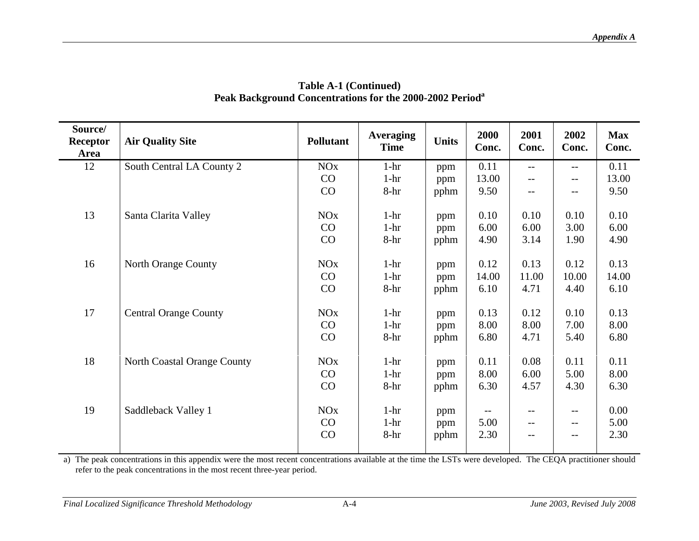| Source/<br>Receptor<br>Area | <b>Air Quality Site</b>      | <b>Pollutant</b>                  | <b>Averaging</b><br><b>Time</b> | <b>Units</b>       | 2000<br>Conc.         | 2001<br>Conc.         | 2002<br>Conc.                     | <b>Max</b><br>Conc.   |
|-----------------------------|------------------------------|-----------------------------------|---------------------------------|--------------------|-----------------------|-----------------------|-----------------------------------|-----------------------|
| 12                          | South Central LA County 2    | <b>NO<sub>x</sub></b><br>CO<br>CO | $1-hr$<br>$1-hr$<br>$8-hr$      | ppm<br>ppm<br>pphm | 0.11<br>13.00<br>9.50 | $-$<br>$--$           | $-$<br>--<br>$- -$                | 0.11<br>13.00<br>9.50 |
| 13                          | Santa Clarita Valley         | <b>NO<sub>x</sub></b><br>CO<br>CO | $1-hr$<br>$1-hr$<br>$8-hr$      | ppm<br>ppm<br>pphm | 0.10<br>6.00<br>4.90  | 0.10<br>6.00<br>3.14  | 0.10<br>3.00<br>1.90              | 0.10<br>6.00<br>4.90  |
| 16                          | North Orange County          | <b>NO<sub>x</sub></b><br>CO<br>CO | $1-hr$<br>$1-hr$<br>$8-hr$      | ppm<br>ppm<br>pphm | 0.12<br>14.00<br>6.10 | 0.13<br>11.00<br>4.71 | 0.12<br>10.00<br>4.40             | 0.13<br>14.00<br>6.10 |
| 17                          | <b>Central Orange County</b> | <b>NO<sub>x</sub></b><br>CO<br>CO | $1-hr$<br>$1-hr$<br>$8-hr$      | ppm<br>ppm<br>pphm | 0.13<br>8.00<br>6.80  | 0.12<br>8.00<br>4.71  | 0.10<br>7.00<br>5.40              | 0.13<br>8.00<br>6.80  |
| 18                          | North Coastal Orange County  | <b>NO<sub>x</sub></b><br>CO<br>CO | $1-hr$<br>$1-hr$<br>8-hr        | ppm<br>ppm<br>pphm | 0.11<br>8.00<br>6.30  | 0.08<br>6.00<br>4.57  | 0.11<br>5.00<br>4.30              | 0.11<br>8.00<br>6.30  |
| 19                          | Saddleback Valley 1          | <b>NO<sub>x</sub></b><br>CO<br>CO | $1-hr$<br>$1-hr$<br>$8-hr$      | ppm<br>ppm<br>pphm | 5.00<br>2.30          | $- -$<br>$-$<br>$-$   | $\qquad \qquad -$<br>$- -$<br>$-$ | 0.00<br>5.00<br>2.30  |

#### **Table A-1 (Continued)Peak Background Concentrations for the 2000-2002 Period<sup>a</sup>**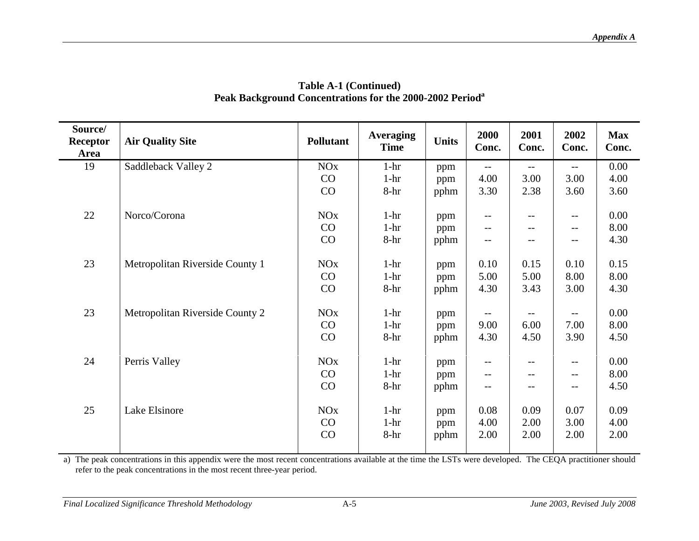| Source/<br>Receptor<br>Area | <b>Air Quality Site</b>         | <b>Pollutant</b>      | <b>Averaging</b><br><b>Time</b> | <b>Units</b> | 2000<br>Conc.            | 2001<br>Conc.            | 2002<br>Conc.            | <b>Max</b><br>Conc. |
|-----------------------------|---------------------------------|-----------------------|---------------------------------|--------------|--------------------------|--------------------------|--------------------------|---------------------|
| 19                          | Saddleback Valley 2             | <b>NO<sub>x</sub></b> | $1-hr$                          | ppm          | $-$                      | $- -$                    | $\overline{\phantom{m}}$ | 0.00                |
|                             |                                 | CO                    | $1-hr$                          | ppm          | 4.00                     | 3.00                     | 3.00                     | 4.00                |
|                             |                                 | CO                    | $8-hr$                          | pphm         | 3.30                     | 2.38                     | 3.60                     | 3.60                |
| 22                          | Norco/Corona                    | <b>NO<sub>x</sub></b> | $1-hr$                          | ppm          | $\overline{\phantom{m}}$ | $\overline{\phantom{m}}$ | $\qquad \qquad -$        | 0.00                |
|                             |                                 | CO                    | $1-hr$                          | ppm          | $--$                     | $- -$                    | $\qquad \qquad -$        | 8.00                |
|                             |                                 | CO                    | 8-hr                            | pphm         |                          |                          | --                       | 4.30                |
| 23                          | Metropolitan Riverside County 1 | <b>NO<sub>x</sub></b> | $1-hr$                          | ppm          | 0.10                     | 0.15                     | 0.10                     | 0.15                |
|                             |                                 | CO                    | $1-hr$                          | ppm          | 5.00                     | 5.00                     | 8.00                     | 8.00                |
|                             |                                 | CO                    | $8-hr$                          | pphm         | 4.30                     | 3.43                     | 3.00                     | 4.30                |
| 23                          | Metropolitan Riverside County 2 | <b>NO<sub>x</sub></b> | $1-hr$                          | ppm          | $-$                      | $- -$                    | $-$                      | 0.00                |
|                             |                                 | CO                    | $1-hr$                          | ppm          | 9.00                     | 6.00                     | 7.00                     | 8.00                |
|                             |                                 | CO                    | 8-hr                            | pphm         | 4.30                     | 4.50                     | 3.90                     | 4.50                |
| 24                          | Perris Valley                   | <b>NO<sub>x</sub></b> | $1-hr$                          | ppm          | $- -$                    | $\overline{\phantom{m}}$ | $-$                      | 0.00                |
|                             |                                 | CO                    | $1-hr$                          | ppm          | $- -$                    | $- -$                    | $-\!$ $\!-$              | 8.00                |
|                             |                                 | CO                    | 8-hr                            | pphm         | $-$                      | $\overline{\phantom{m}}$ | --                       | 4.50                |
| 25                          | Lake Elsinore                   | <b>NO<sub>x</sub></b> | $1-hr$                          | ppm          | 0.08                     | 0.09                     | 0.07                     | 0.09                |
|                             |                                 | CO                    | $1-hr$                          | ppm          | 4.00                     | 2.00                     | 3.00                     | 4.00                |
|                             |                                 | CO                    | 8-hr                            | pphm         | 2.00                     | 2.00                     | 2.00                     | 2.00                |
|                             |                                 |                       |                                 |              |                          |                          |                          |                     |

#### **Table A-1 (Continued) Peak Background Concentrations for the 2000-2002 Period<sup>a</sup>**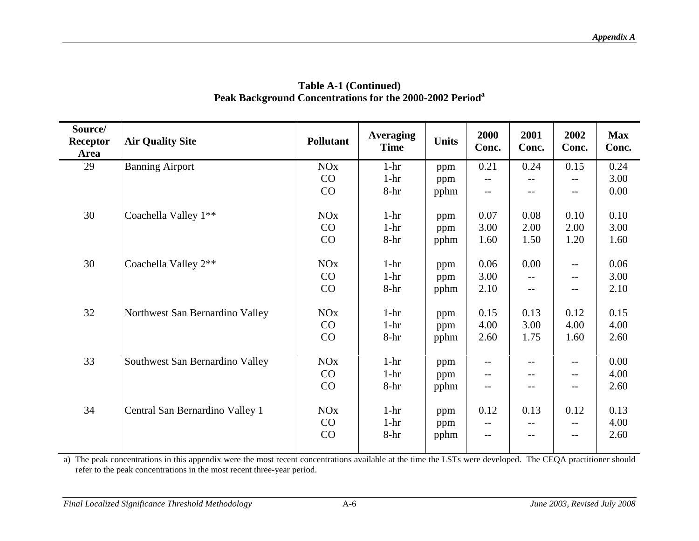| Source/<br>Receptor<br>Area | <b>Air Quality Site</b>         | <b>Pollutant</b>      | <b>Averaging</b><br><b>Time</b> | <b>Units</b> | 2000<br>Conc.            | 2001<br>Conc.                                 | 2002<br>Conc.            | <b>Max</b><br>Conc. |
|-----------------------------|---------------------------------|-----------------------|---------------------------------|--------------|--------------------------|-----------------------------------------------|--------------------------|---------------------|
| 29                          | <b>Banning Airport</b>          | <b>NO<sub>x</sub></b> | $1-hr$                          | ppm          | 0.21                     | 0.24                                          | 0.15                     | 0.24                |
|                             |                                 | CO                    | $1-hr$                          | ppm          | $- -$                    |                                               | $\qquad \qquad -$        | 3.00                |
|                             |                                 | CO                    | $8-hr$                          | pphm         | --                       |                                               | $-$                      | 0.00                |
| 30                          | Coachella Valley 1**            | <b>NO<sub>x</sub></b> | $1-hr$                          | ppm          | 0.07                     | 0.08                                          | 0.10                     | 0.10                |
|                             |                                 | CO                    | $1-hr$                          | ppm          | 3.00                     | 2.00                                          | 2.00                     | 3.00                |
|                             |                                 | CO                    | 8-hr                            | pphm         | 1.60                     | 1.50                                          | 1.20                     | 1.60                |
| 30                          | Coachella Valley 2**            | <b>NO<sub>x</sub></b> | $1-hr$                          | ppm          | 0.06                     | 0.00                                          | $- -$                    | 0.06                |
|                             |                                 | CO                    | $1-hr$                          | ppm          | 3.00                     | $\overline{\phantom{m}}$                      | --                       | 3.00                |
|                             |                                 | CO                    | $8-hr$                          | pphm         | 2.10                     | $\mathord{\hspace{1pt}\text{--}\hspace{1pt}}$ | $- -$                    | 2.10                |
| 32                          | Northwest San Bernardino Valley | <b>NO<sub>x</sub></b> | $1-hr$                          | ppm          | 0.15                     | 0.13                                          | 0.12                     | 0.15                |
|                             |                                 | CO                    | $1-hr$                          | ppm          | 4.00                     | 3.00                                          | 4.00                     | 4.00                |
|                             |                                 | CO                    | 8-hr                            | pphm         | 2.60                     | 1.75                                          | 1.60                     | 2.60                |
| 33                          | Southwest San Bernardino Valley | <b>NO<sub>x</sub></b> | $1-hr$                          | ppm          | $\overline{\phantom{m}}$ | $- -$                                         | $- -$                    | 0.00                |
|                             |                                 | CO                    | $1-hr$                          | ppm          | $\overline{\phantom{m}}$ | $\overline{\phantom{m}}$                      | $-\, -$                  | 4.00                |
|                             |                                 | CO                    | 8-hr                            | pphm         | $- -$                    | $\overline{\phantom{m}}$                      | $\overline{\phantom{m}}$ | 2.60                |
| 34                          | Central San Bernardino Valley 1 | <b>NO<sub>x</sub></b> | $1-hr$                          | ppm          | 0.12                     | 0.13                                          | 0.12                     | 0.13                |
|                             |                                 | CO                    | $1-hr$                          | ppm          | --                       |                                               | --                       | 4.00                |
|                             |                                 | CO                    | 8-hr                            | pphm         | --                       | $\overline{\phantom{m}}$                      | $ -$                     | 2.60                |
|                             |                                 |                       |                                 |              |                          |                                               |                          |                     |

#### **Table A-1 (Continued) Peak Background Concentrations for the 2000-2002 Period<sup>a</sup>**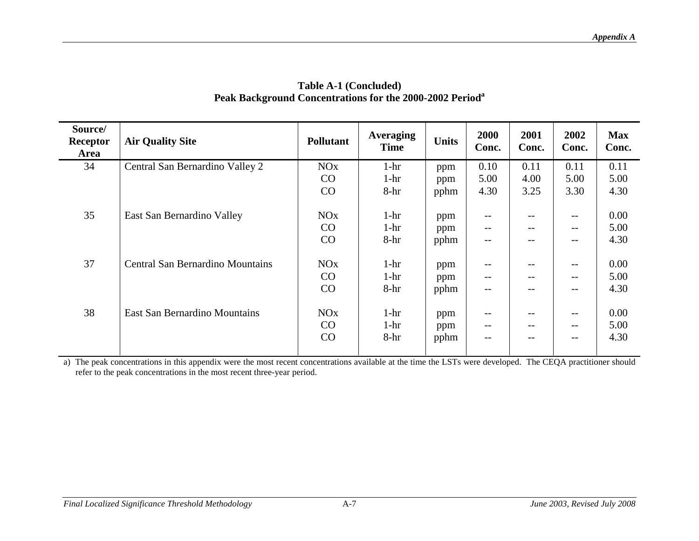| Source/<br>Receptor<br>Area | <b>Air Quality Site</b>                 | <b>Pollutant</b>      | <b>Averaging</b><br><b>Time</b> | <b>Units</b> | 2000<br>Conc.     | 2001<br>Conc.            | 2002<br>Conc.            | <b>Max</b><br>Conc. |
|-----------------------------|-----------------------------------------|-----------------------|---------------------------------|--------------|-------------------|--------------------------|--------------------------|---------------------|
| 34                          | Central San Bernardino Valley 2         | NOx                   | $1-hr$                          | ppm          | 0.10              | 0.11                     | 0.11                     | 0.11                |
|                             |                                         | CO                    | $1-hr$                          | ppm          | 5.00              | 4.00                     | 5.00                     | 5.00                |
|                             |                                         | CO                    | $8-hr$                          | pphm         | 4.30              | 3.25                     | 3.30                     | 4.30                |
|                             |                                         |                       |                                 |              |                   |                          |                          |                     |
| 35                          | East San Bernardino Valley              | NOx                   | $1-hr$                          | ppm          | $- -$             | $- -$                    | $\qquad \qquad -$        | 0.00                |
|                             |                                         | CO                    | $1-hr$                          | ppm          | $- -$             | $- -$                    | $\qquad \qquad -$        | 5.00                |
|                             |                                         | CO                    | $8-hr$                          | pphm         | $\qquad \qquad -$ | $\qquad \qquad -$        | $-$                      | 4.30                |
|                             |                                         |                       |                                 |              |                   |                          |                          |                     |
| 37                          | <b>Central San Bernardino Mountains</b> | <b>NO<sub>x</sub></b> | $1-hr$                          | ppm          | $\qquad \qquad -$ | $\overline{\phantom{m}}$ | $-\,-$                   | 0.00                |
|                             |                                         | CO                    | $1-hr$                          | ppm          | $\qquad \qquad -$ | $\qquad \qquad -$        | $\overline{\phantom{m}}$ | 5.00                |
|                             |                                         | CO                    | $8-hr$                          | pphm         | $\qquad \qquad -$ | $- -$                    | $-$                      | 4.30                |
|                             |                                         |                       |                                 |              |                   |                          |                          |                     |
| 38                          | <b>East San Bernardino Mountains</b>    | NOx                   | $1-hr$                          | ppm          | $\qquad \qquad -$ | $- -$                    | $\qquad \qquad -$        | 0.00                |
|                             |                                         | CO                    | $1-hr$                          | ppm          | $--$              | $\overline{\phantom{m}}$ | $\qquad \qquad -$        | 5.00                |
|                             |                                         | CO                    | $8-hr$                          | pphm         | $\qquad \qquad -$ | $- -$                    | $\qquad \qquad -$        | 4.30                |
|                             |                                         |                       |                                 |              |                   |                          |                          |                     |

#### **Table A-1 (Concluded) Peak Background Concentrations for the 2000-2002 Period<sup>a</sup>**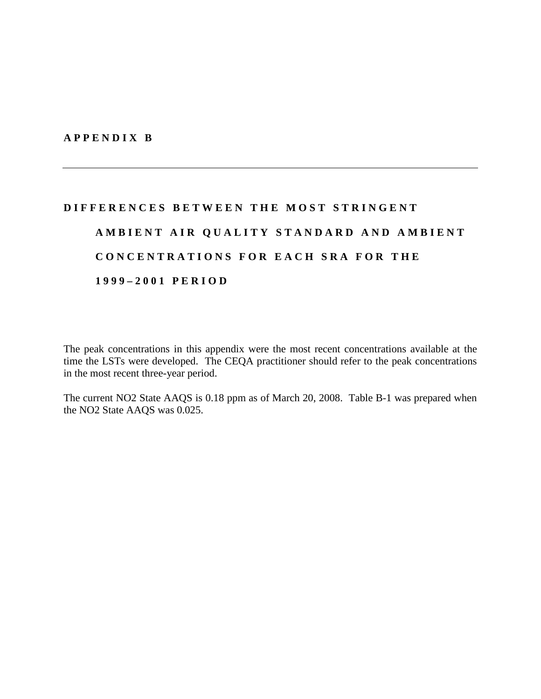#### **A P P E N D I X B**

# **D I F F E R E N C E S B E T W E E N T H E M O S T S T R I N G E N T**  A M B I E N T A I R Q U A L I T Y S T A N D A R D A N D A M B I E N T CONCENTRATIONS FOR EACH SRA FOR THE **1 9 9 9 – 2 0 0 1 P E R I O D**

The peak concentrations in this appendix were the most recent concentrations available at the time the LSTs were developed. The CEQA practitioner should refer to the peak concentrations in the most recent three-year period.

The current NO2 State AAQS is 0.18 ppm as of March 20, 2008. Table B-1 was prepared when the NO2 State AAQS was 0.025.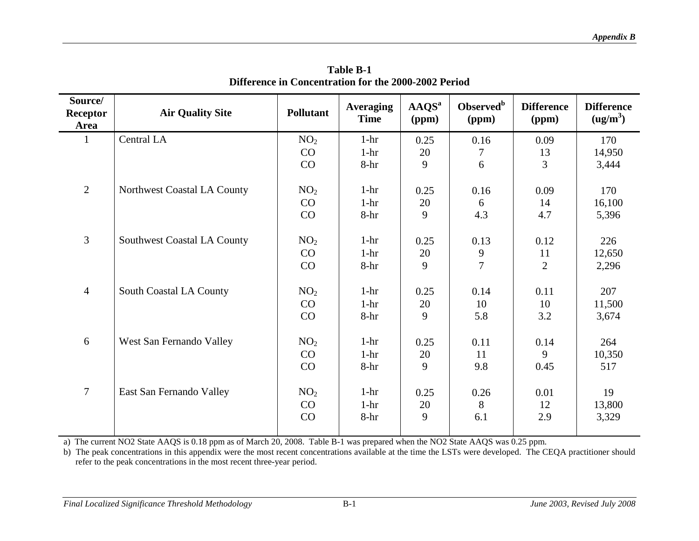| Source/<br><b>Receptor</b><br>Area | <b>Air Quality Site</b>            | <b>Pollutant</b>            | <b>Averaging</b><br><b>Time</b> | AAQS <sup>a</sup><br>(ppm) | Observed <sup>b</sup><br>(ppm) | <b>Difference</b><br>(ppm) | <b>Difference</b><br>(ug/m <sup>3</sup> ) |
|------------------------------------|------------------------------------|-----------------------------|---------------------------------|----------------------------|--------------------------------|----------------------------|-------------------------------------------|
| $\mathbf{1}$                       | Central LA                         | NO <sub>2</sub>             | $1-hr$                          | 0.25                       | 0.16                           | 0.09                       | 170                                       |
|                                    |                                    | CO                          | $1-hr$                          | 20                         | $\boldsymbol{7}$               | 13                         | 14,950                                    |
|                                    |                                    | CO                          | $8-hr$                          | 9                          | 6                              | 3                          | 3,444                                     |
| $\overline{2}$                     | Northwest Coastal LA County        | NO <sub>2</sub>             | $1-hr$                          | 0.25                       | 0.16                           | 0.09                       | 170                                       |
|                                    |                                    | CO                          | $1-hr$                          | 20                         | 6                              | 14                         | 16,100                                    |
|                                    |                                    | CO                          | $8-hr$                          | 9                          | 4.3                            | 4.7                        | 5,396                                     |
| 3                                  | <b>Southwest Coastal LA County</b> | NO <sub>2</sub>             | $1-hr$                          | 0.25                       | 0.13                           | 0.12                       | 226                                       |
|                                    |                                    | CO                          | $1-hr$                          | 20                         | $\frac{9}{7}$                  | 11                         | 12,650                                    |
|                                    |                                    | CO                          | $8-hr$                          | 9                          |                                | $\overline{2}$             | 2,296                                     |
| $\overline{4}$                     | South Coastal LA County            | NO <sub>2</sub>             | $1-hr$                          | 0.25                       | 0.14                           | 0.11                       | 207                                       |
|                                    |                                    | CO                          | $1-hr$                          | 20                         | 10                             | 10                         | 11,500                                    |
|                                    |                                    | CO                          | $8-hr$                          | 9                          | 5.8                            | 3.2                        | 3,674                                     |
| 6                                  | West San Fernando Valley           | NO <sub>2</sub><br>CO<br>CO | $1-hr$<br>$1-hr$<br>8-hr        | 0.25<br>20<br>9            | 0.11<br>11<br>9.8              | 0.14<br>9<br>0.45          | 264<br>10,350<br>517                      |
| $\overline{7}$                     | East San Fernando Valley           | NO <sub>2</sub><br>CO<br>CO | $1-hr$<br>$1-hr$<br>$8-hr$      | 0.25<br>20<br>9            | 0.26<br>8<br>6.1               | 0.01<br>12<br>2.9          | 19<br>13,800<br>3,329                     |

**Table B-1 Difference in Concentration for the 2000-2002 Period** 

a) The current NO2 State AAQS is 0.18 ppm as of March 20, 2008. Table B-1 was prepared when the NO2 State AAQS was 0.25 ppm.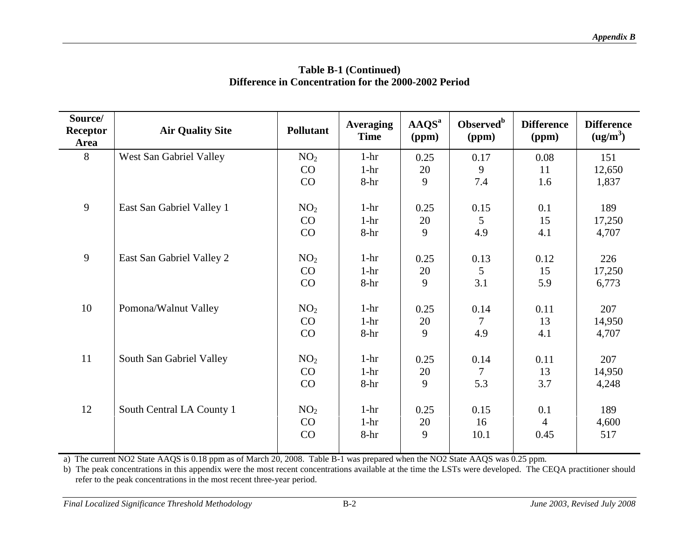| Source/<br><b>Receptor</b><br>Area | <b>Air Quality Site</b>   | <b>Pollutant</b>            | <b>Averaging</b><br><b>Time</b> | AAQS <sup>a</sup><br>(ppm) | Observed <sup>b</sup><br>(ppm) | <b>Difference</b><br>(ppm)    | <b>Difference</b><br>(ug/m <sup>3</sup> ) |
|------------------------------------|---------------------------|-----------------------------|---------------------------------|----------------------------|--------------------------------|-------------------------------|-------------------------------------------|
| 8                                  | West San Gabriel Valley   | NO <sub>2</sub>             | $1-hr$                          | 0.25                       | 0.17                           | 0.08                          | 151                                       |
|                                    |                           | CO                          | $1-hr$                          | 20                         | 9                              | 11                            | 12,650                                    |
|                                    |                           | CO                          | 8-hr                            | 9                          | 7.4                            | 1.6                           | 1,837                                     |
| 9                                  | East San Gabriel Valley 1 | NO <sub>2</sub>             | $1-hr$                          | 0.25                       | 0.15                           | 0.1                           | 189                                       |
|                                    |                           | CO                          | $1-hr$                          | 20                         | $\mathfrak{S}$                 | 15                            | 17,250                                    |
|                                    |                           | CO                          | $8-hr$                          | 9                          | 4.9                            | 4.1                           | 4,707                                     |
| 9                                  | East San Gabriel Valley 2 | NO <sub>2</sub>             | $1-hr$                          | 0.25                       | 0.13                           | 0.12                          | 226                                       |
|                                    |                           | CO                          | $1-hr$                          | 20                         | $\overline{5}$                 | 15                            | 17,250                                    |
|                                    |                           | CO                          | $8-hr$                          | 9                          | 3.1                            | 5.9                           | 6,773                                     |
| 10                                 | Pomona/Walnut Valley      | NO <sub>2</sub>             | $1-hr$                          | 0.25                       | 0.14                           | 0.11                          | 207                                       |
|                                    |                           | CO                          | $1-hr$                          | 20                         | 7                              | 13                            | 14,950                                    |
|                                    |                           | CO                          | $8-hr$                          | 9                          | 4.9                            | 4.1                           | 4,707                                     |
| 11                                 | South San Gabriel Valley  | NO <sub>2</sub><br>CO<br>CO | $1-hr$<br>$1-hr$<br>$8-hr$      | 0.25<br>20<br>9            | 0.14<br>$\tau$<br>5.3          | 0.11<br>13<br>3.7             | 207<br>14,950<br>4,248                    |
| 12                                 | South Central LA County 1 | NO <sub>2</sub><br>CO<br>CO | $1-hr$<br>$1-hr$<br>$8-hr$      | 0.25<br>20<br>9            | 0.15<br>16<br>10.1             | 0.1<br>$\overline{4}$<br>0.45 | 189<br>4,600<br>517                       |

a) The current NO2 State AAQS is 0.18 ppm as of March 20, 2008. Table B-1 was prepared when the NO2 State AAQS was 0.25 ppm.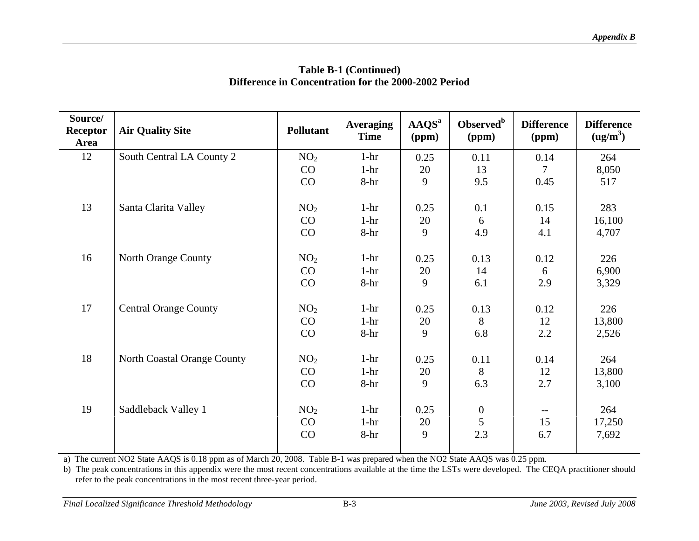| Source/<br><b>Receptor</b><br>Area | <b>Air Quality Site</b>      | <b>Pollutant</b> | <b>Averaging</b><br><b>Time</b> | AAQS <sup>a</sup><br>(ppm) | Observed <sup>b</sup><br>(ppm) | <b>Difference</b><br>(ppm) | <b>Difference</b><br>(ug/m <sup>3</sup> ) |
|------------------------------------|------------------------------|------------------|---------------------------------|----------------------------|--------------------------------|----------------------------|-------------------------------------------|
| 12                                 | South Central LA County 2    | NO <sub>2</sub>  | $1-hr$                          | 0.25                       | 0.11                           | 0.14                       | 264                                       |
|                                    |                              | CO               | $1-hr$                          | 20                         | 13                             | 7                          | 8,050                                     |
|                                    |                              | CO               | 8-hr                            | 9                          | 9.5                            | 0.45                       | 517                                       |
|                                    |                              |                  |                                 |                            |                                |                            |                                           |
| 13                                 | Santa Clarita Valley         | NO <sub>2</sub>  | $1-hr$                          | 0.25                       | 0.1                            | 0.15                       | 283                                       |
|                                    |                              | CO               | $1-hr$                          | 20                         | 6                              | 14                         | 16,100                                    |
|                                    |                              | CO               | $8-hr$                          | 9                          | 4.9                            | 4.1                        | 4,707                                     |
| 16                                 | North Orange County          | NO <sub>2</sub>  | $1-hr$                          | 0.25                       | 0.13                           | 0.12                       | 226                                       |
|                                    |                              |                  |                                 |                            |                                |                            |                                           |
|                                    |                              | CO               | $1-hr$                          | 20                         | 14                             | 6                          | 6,900                                     |
|                                    |                              | CO               | $8-hr$                          | 9                          | 6.1                            | 2.9                        | 3,329                                     |
| 17                                 | <b>Central Orange County</b> | NO <sub>2</sub>  | $1-hr$                          | 0.25                       | 0.13                           | 0.12                       | 226                                       |
|                                    |                              | CO               | $1-hr$                          | 20                         | 8                              | 12                         | 13,800                                    |
|                                    |                              | CO               | $8-hr$                          | 9                          | 6.8                            | 2.2                        | 2,526                                     |
|                                    |                              |                  |                                 |                            |                                |                            |                                           |
| 18                                 | North Coastal Orange County  | NO <sub>2</sub>  | $1-hr$                          | 0.25                       | 0.11                           | 0.14                       | 264                                       |
|                                    |                              | CO               | $1-hr$                          | 20                         | 8                              | 12                         | 13,800                                    |
|                                    |                              | CO               | 8-hr                            | 9                          | 6.3                            | 2.7                        | 3,100                                     |
|                                    |                              |                  |                                 |                            |                                |                            |                                           |
| 19                                 | Saddleback Valley 1          | NO <sub>2</sub>  | $1-hr$                          | 0.25                       | $\boldsymbol{0}$               | $- -$                      | 264                                       |
|                                    |                              | CO               | $1-hr$                          | 20                         | 5                              | 15                         | 17,250                                    |
|                                    |                              | CO               | 8-hr                            | 9                          | 2.3                            | 6.7                        | 7,692                                     |
|                                    |                              |                  |                                 |                            |                                |                            |                                           |

a) The current NO2 State AAQS is 0.18 ppm as of March 20, 2008. Table B-1 was prepared when the NO2 State AAQS was 0.25 ppm.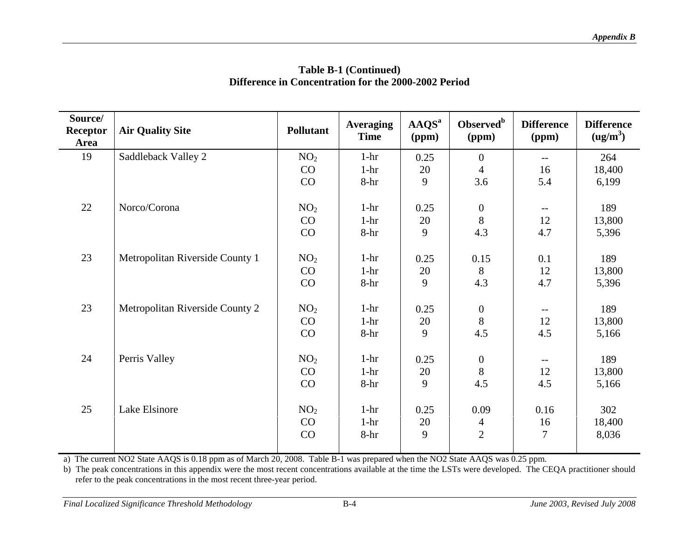| Source/<br><b>Receptor</b><br>Area | <b>Air Quality Site</b>         | <b>Pollutant</b> | <b>Averaging</b><br><b>Time</b> | AAQS <sup>a</sup><br>(ppm) | Observed <sup>b</sup><br>(ppm) | <b>Difference</b><br>(ppm) | <b>Difference</b><br>(ug/m <sup>3</sup> ) |
|------------------------------------|---------------------------------|------------------|---------------------------------|----------------------------|--------------------------------|----------------------------|-------------------------------------------|
| 19                                 | Saddleback Valley 2             | NO <sub>2</sub>  | $1-hr$                          | 0.25                       | $\boldsymbol{0}$               | $\qquad \qquad -$          | 264                                       |
|                                    |                                 | CO               | $1-hr$                          | 20                         | $\overline{4}$                 | 16                         | 18,400                                    |
|                                    |                                 | CO               | $8-hr$                          | 9                          | 3.6                            | 5.4                        | 6,199                                     |
| 22                                 | Norco/Corona                    | NO <sub>2</sub>  | $1-hr$                          | 0.25                       | $\overline{0}$                 | $-$                        | 189                                       |
|                                    |                                 | CO               | $1-hr$                          | 20                         | 8                              | 12                         | 13,800                                    |
|                                    |                                 | CO               | $8-hr$                          | 9                          | 4.3                            | 4.7                        | 5,396                                     |
| 23                                 | Metropolitan Riverside County 1 | NO <sub>2</sub>  | $1-hr$                          | 0.25                       | 0.15                           | 0.1                        | 189                                       |
|                                    |                                 | CO               | $1-hr$                          | 20                         | 8                              | 12                         | 13,800                                    |
|                                    |                                 | CO               | $8-hr$                          | 9                          | 4.3                            | 4.7                        | 5,396                                     |
|                                    |                                 |                  |                                 |                            |                                |                            |                                           |
| 23                                 | Metropolitan Riverside County 2 | NO <sub>2</sub>  | $1-hr$                          | 0.25                       | $\boldsymbol{0}$               | $- -$                      | 189                                       |
|                                    |                                 | CO               | $1-hr$                          | 20                         | 8                              | 12                         | 13,800                                    |
|                                    |                                 | CO               | $8-hr$                          | 9                          | 4.5                            | 4.5                        | 5,166                                     |
| 24                                 | Perris Valley                   | NO <sub>2</sub>  | $1-hr$                          | 0.25                       | $\boldsymbol{0}$               | $-\,-$                     | 189                                       |
|                                    |                                 | CO               | $1-hr$                          | 20                         | $\bf 8$                        | 12                         | 13,800                                    |
|                                    |                                 | CO               | $8-hr$                          | 9                          | 4.5                            | 4.5                        | 5,166                                     |
| 25                                 | Lake Elsinore                   | NO <sub>2</sub>  | $1-hr$                          | 0.25                       | 0.09                           | 0.16                       | 302                                       |
|                                    |                                 | CO               | $1-hr$                          | 20                         | $\overline{4}$                 | 16                         | 18,400                                    |
|                                    |                                 | CO               | 8-hr                            | 9                          | $\overline{2}$                 | 7                          | 8,036                                     |
|                                    |                                 |                  |                                 |                            |                                |                            |                                           |

a) The current NO2 State AAQS is 0.18 ppm as of March 20, 2008. Table B-1 was prepared when the NO2 State AAQS was 0.25 ppm.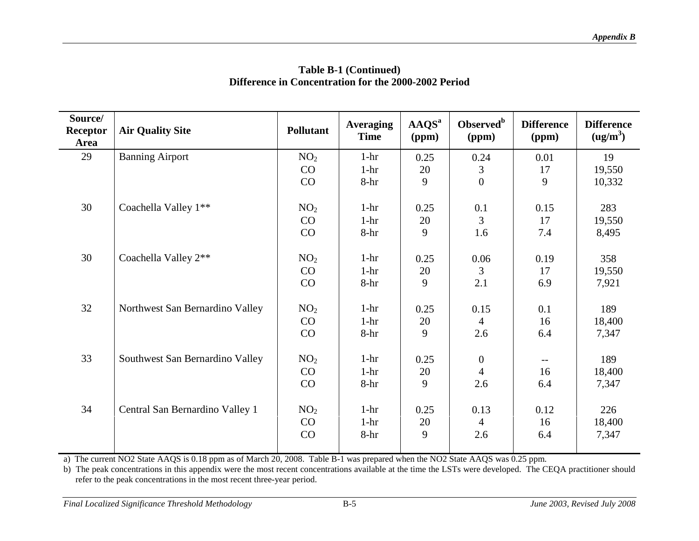| Source/<br><b>Receptor</b><br>Area | <b>Air Quality Site</b>         | <b>Pollutant</b> | <b>Averaging</b><br><b>Time</b> | AAQS <sup>a</sup><br>(ppm) | Observed <sup>b</sup><br>(ppm) | <b>Difference</b><br>(ppm) | <b>Difference</b><br>(ug/m <sup>3</sup> ) |
|------------------------------------|---------------------------------|------------------|---------------------------------|----------------------------|--------------------------------|----------------------------|-------------------------------------------|
| 29                                 | <b>Banning Airport</b>          | NO <sub>2</sub>  | $1-hr$                          | 0.25                       | 0.24                           | 0.01                       | 19                                        |
|                                    |                                 | CO               | $1-hr$                          | 20                         | 3                              | 17                         | 19,550                                    |
|                                    |                                 | CO               | 8-hr                            | 9                          | $\overline{0}$                 | 9                          | 10,332                                    |
| 30                                 | Coachella Valley 1**            | NO <sub>2</sub>  | $1 - hr$                        | 0.25                       | 0.1                            | 0.15                       | 283                                       |
|                                    |                                 | CO               | $1-hr$                          | 20                         | $\overline{3}$                 | 17                         | 19,550                                    |
|                                    |                                 | CO               | $8-hr$                          | 9                          | 1.6                            | 7.4                        | 8,495                                     |
| 30                                 | Coachella Valley 2**            | NO <sub>2</sub>  | $1-hr$                          | 0.25                       | 0.06                           | 0.19                       | 358                                       |
|                                    |                                 | CO               | $1-hr$                          | 20                         | 3                              | 17                         | 19,550                                    |
|                                    |                                 | CO               | 8-hr                            | 9                          | 2.1                            | 6.9                        | 7,921                                     |
| 32                                 | Northwest San Bernardino Valley | NO <sub>2</sub>  | $1-hr$                          | 0.25                       | 0.15                           | 0.1                        | 189                                       |
|                                    |                                 | CO               | $1-hr$                          | 20                         | $\overline{4}$                 | 16                         | 18,400                                    |
|                                    |                                 | CO               | 8-hr                            | 9                          | 2.6                            | 6.4                        | 7,347                                     |
| 33                                 | Southwest San Bernardino Valley | NO <sub>2</sub>  | $1-hr$                          | 0.25                       | $\boldsymbol{0}$               | $--$                       | 189                                       |
|                                    |                                 | CO               | $1-hr$                          | 20                         | $\overline{4}$                 | 16                         | 18,400                                    |
|                                    |                                 | CO               | 8-hr                            | 9                          | 2.6                            | 6.4                        | 7,347                                     |
| 34                                 | Central San Bernardino Valley 1 | NO <sub>2</sub>  | $1-hr$                          | 0.25                       | 0.13                           | 0.12                       | 226                                       |
|                                    |                                 | CO               | $1-hr$                          | 20                         | 4                              | 16                         | 18,400                                    |
|                                    |                                 | CO               | 8-hr                            | 9                          | 2.6                            | 6.4                        | 7,347                                     |
|                                    |                                 |                  |                                 |                            |                                |                            |                                           |

a) The current NO2 State AAQS is 0.18 ppm as of March 20, 2008. Table B-1 was prepared when the NO2 State AAQS was 0.25 ppm.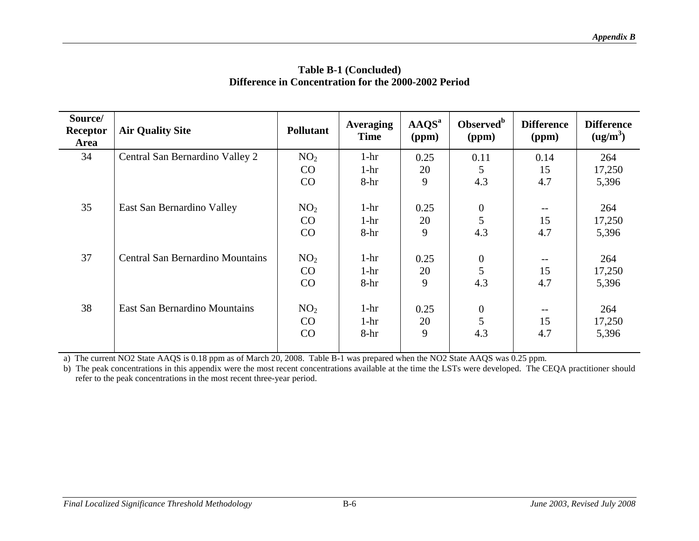| Source/<br>Receptor<br><b>Area</b> | <b>Air Quality Site</b>                 | <b>Pollutant</b>            | <b>Averaging</b><br><b>Time</b> | AAQS <sup>a</sup><br>(ppm) | Observed <sup>b</sup><br>(ppm) | <b>Difference</b><br>(ppm)            | <b>Difference</b><br>(ug/m <sup>3</sup> ) |
|------------------------------------|-----------------------------------------|-----------------------------|---------------------------------|----------------------------|--------------------------------|---------------------------------------|-------------------------------------------|
| 34                                 | Central San Bernardino Valley 2         | NO <sub>2</sub>             | $1-hr$                          | 0.25                       | 0.11                           | 0.14                                  | 264                                       |
|                                    |                                         | CO                          | $1-hr$                          | 20                         | 5                              | 15                                    | 17,250                                    |
|                                    |                                         | CO                          | 8-hr                            | 9                          | 4.3                            | 4.7                                   | 5,396                                     |
| 35                                 | East San Bernardino Valley              | NO <sub>2</sub><br>CO<br>CO | $1-hr$<br>$1-hr$<br>8-hr        | 0.25<br>20<br>9            | $\boldsymbol{0}$<br>5<br>4.3   | $\overline{\phantom{m}}$<br>15<br>4.7 | 264<br>17,250<br>5,396                    |
| 37                                 | <b>Central San Bernardino Mountains</b> | NO <sub>2</sub><br>CO<br>CO | $1-hr$<br>$1-hr$<br>8-hr        | 0.25<br>20<br>9            | $\boldsymbol{0}$<br>5<br>4.3   | $-\,-$<br>15<br>4.7                   | 264<br>17,250<br>5,396                    |
| 38                                 | <b>East San Bernardino Mountains</b>    | NO <sub>2</sub><br>CO<br>CO | $1-hr$<br>$1-hr$<br>$8-hr$      | 0.25<br>20<br>9            | $\boldsymbol{0}$<br>5<br>4.3   | $\overline{\phantom{m}}$<br>15<br>4.7 | 264<br>17,250<br>5,396                    |

a) The current NO2 State AAQS is 0.18 ppm as of March 20, 2008. Table B-1 was prepared when the NO2 State AAQS was 0.25 ppm.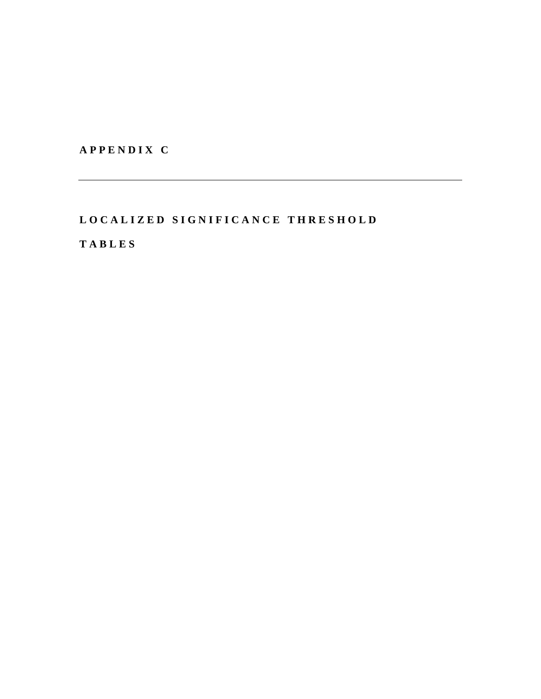**A P P E N D I X C** 

## LO CALIZED SIGNIFICANCE THRESHOLD

**T A B L E S**